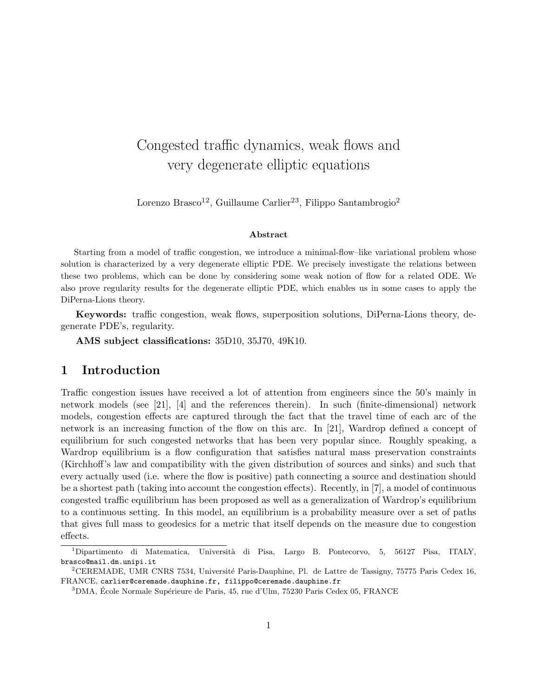# Congested traffic dynamics, weak flows and very degenerate elliptic equations

Lorenzo Brasco<sup>12</sup>, Guillaume Carlier<sup>23</sup>, Filippo Santambrogio<sup>2</sup>

#### Abstract

Starting from a model of traffic congestion, we introduce a minimal-flow–like variational problem whose solution is characterized by a very degenerate elliptic PDE. We precisely investigate the relations between these two problems, which can be done by considering some weak notion of flow for a related ODE. We also prove regularity results for the degenerate elliptic PDE, which enables us in some cases to apply the DiPerna-Lions theory.

Keywords: traffic congestion, weak flows, superposition solutions, DiPerna-Lions theory, degenerate PDE's, regularity.

AMS subject classifications: 35D10, 35J70, 49K10.

### 1 Introduction

Traffic congestion issues have received a lot of attention from engineers since the 50's mainly in network models (see [21], [4] and the references therein). In such (finite-dimensional) network models, congestion effects are captured through the fact that the travel time of each arc of the network is an increasing function of the flow on this arc. In [21], Wardrop defined a concept of equilibrium for such congested networks that has been very popular since. Roughly speaking, a Wardrop equilibrium is a flow configuration that satisfies natural mass preservation constraints (Kirchhoff's law and compatibility with the given distribution of sources and sinks) and such that every actually used (i.e. where the flow is positive) path connecting a source and destination should be a shortest path (taking into account the congestion effects). Recently, in [7], a model of continuous congested traffic equilibrium has been proposed as well as a generalization of Wardrop's equilibrium to a continuous setting. In this model, an equilibrium is a probability measure over a set of paths that gives full mass to geodesics for a metric that itself depends on the measure due to congestion effects.

<sup>&</sup>lt;sup>1</sup>Dipartimento di Matematica, Università di Pisa, Largo B. Pontecorvo, 5, 56127 Pisa, ITALY, brasco@mail.dm.unipi.it

<sup>&</sup>lt;sup>2</sup>CEREMADE, UMR CNRS 7534, Université Paris-Dauphine, Pl. de Lattre de Tassigny, 75775 Paris Cedex 16, FRANCE, carlier@ceremade.dauphine.fr, filippo@ceremade.dauphine.fr

 $3$ DMA, École Normale Supérieure de Paris, 45, rue d'Ulm, 75230 Paris Cedex 05, FRANCE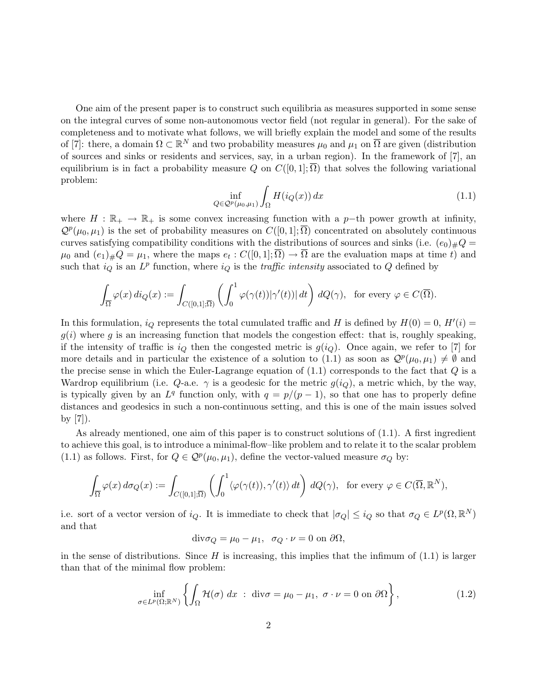One aim of the present paper is to construct such equilibria as measures supported in some sense on the integral curves of some non-autonomous vector field (not regular in general). For the sake of completeness and to motivate what follows, we will briefly explain the model and some of the results of [7]: there, a domain  $\Omega \subset \mathbb{R}^N$  and two probability measures  $\mu_0$  and  $\mu_1$  on  $\overline{\Omega}$  are given (distribution of sources and sinks or residents and services, say, in a urban region). In the framework of [7], an equilibrium is in fact a probability measure Q on  $C([0,1];\overline{\Omega})$  that solves the following variational problem:

$$
\inf_{Q \in \mathcal{Q}^p(\mu_0, \mu_1)} \int_{\Omega} H(i_Q(x)) dx \tag{1.1}
$$

where  $H : \mathbb{R}_+ \to \mathbb{R}_+$  is some convex increasing function with a p-th power growth at infinity,  $\mathcal{Q}^p(\mu_0, \mu_1)$  is the set of probability measures on  $C([0, 1]; \overline{\Omega})$  concentrated on absolutely continuous curves satisfying compatibility conditions with the distributions of sources and sinks (i.e.  $(e_0)_\#Q =$  $\mu_0$  and  $(e_1)_\#Q = \mu_1$ , where the maps  $e_t: C([0,1];\overline{\Omega}) \to \overline{\Omega}$  are the evaluation maps at time t) and such that  $i_Q$  is an  $L^p$  function, where  $i_Q$  is the *traffic intensity* associated to Q defined by

$$
\int_{\overline{\Omega}} \varphi(x) \, di_Q(x) := \int_{C([0,1];\overline{\Omega})} \left( \int_0^1 \varphi(\gamma(t)) |\gamma'(t))| \, dt \right) \, dQ(\gamma), \text{ for every } \varphi \in C(\overline{\Omega}).
$$

In this formulation,  $i_Q$  represents the total cumulated traffic and H is defined by  $H(0) = 0$ ,  $H'(i) =$  $g(i)$  where g is an increasing function that models the congestion effect: that is, roughly speaking, if the intensity of traffic is  $i_Q$  then the congested metric is  $g(i_Q)$ . Once again, we refer to [7] for more details and in particular the existence of a solution to (1.1) as soon as  $\mathcal{Q}^p(\mu_0, \mu_1) \neq \emptyset$  and the precise sense in which the Euler-Lagrange equation of  $(1.1)$  corresponds to the fact that  $Q$  is a Wardrop equilibrium (i.e.  $Q$ -a.e.  $\gamma$  is a geodesic for the metric  $g(i_Q)$ , a metric which, by the way, is typically given by an  $L^q$  function only, with  $q = p/(p-1)$ , so that one has to properly define distances and geodesics in such a non-continuous setting, and this is one of the main issues solved by  $|7|$ ).

As already mentioned, one aim of this paper is to construct solutions of (1.1). A first ingredient to achieve this goal, is to introduce a minimal-flow–like problem and to relate it to the scalar problem (1.1) as follows. First, for  $Q \in \mathcal{Q}^p(\mu_0, \mu_1)$ , define the vector-valued measure  $\sigma_Q$  by:

$$
\int_{\overline{\Omega}} \varphi(x) d\sigma_Q(x) := \int_{C([0,1];\overline{\Omega})} \left( \int_0^1 \langle \varphi(\gamma(t)), \gamma'(t) \rangle dt \right) dQ(\gamma), \text{ for every } \varphi \in C(\overline{\Omega}, \mathbb{R}^N),
$$

i.e. sort of a vector version of  $i_Q$ . It is immediate to check that  $|\sigma_Q| \leq i_Q$  so that  $\sigma_Q \in L^p(\Omega, \mathbb{R}^N)$ and that

$$
\mathrm{div}\sigma_Q = \mu_0 - \mu_1, \quad \sigma_Q \cdot \nu = 0 \text{ on } \partial\Omega,
$$

in the sense of distributions. Since  $H$  is increasing, this implies that the infimum of  $(1.1)$  is larger than that of the minimal flow problem:

$$
\inf_{\sigma \in L^p(\Omega; \mathbb{R}^N)} \left\{ \int_{\Omega} \mathcal{H}(\sigma) \, dx \; : \; \text{div}\sigma = \mu_0 - \mu_1, \; \sigma \cdot \nu = 0 \text{ on } \partial \Omega \right\},\tag{1.2}
$$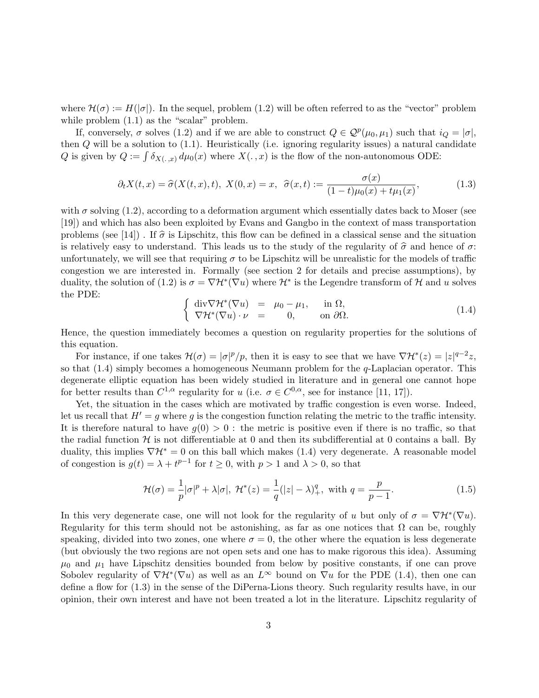where  $\mathcal{H}(\sigma) := H(|\sigma|)$ . In the sequel, problem (1.2) will be often referred to as the "vector" problem while problem  $(1.1)$  as the "scalar" problem.

If, conversely,  $\sigma$  solves (1.2) and if we are able to construct  $Q \in \mathcal{Q}^p(\mu_0, \mu_1)$  such that  $i_Q = |\sigma|$ , then  $Q$  will be a solution to  $(1.1)$ . Heuristically (i.e. ignoring regularity issues) a natural candidate Q is given by  $Q := \int \delta_{X(\cdot, x)} d\mu_0(x)$  where  $X(\cdot, x)$  is the flow of the non-autonomous ODE:

$$
\partial_t X(t, x) = \hat{\sigma}(X(t, x), t), \ X(0, x) = x, \ \ \hat{\sigma}(x, t) := \frac{\sigma(x)}{(1 - t)\mu_0(x) + t\mu_1(x)}, \tag{1.3}
$$

with  $\sigma$  solving (1.2), according to a deformation argument which essentially dates back to Moser (see [19]) and which has also been exploited by Evans and Gangbo in the context of mass transportation problems (see [14]). If  $\hat{\sigma}$  is Lipschitz, this flow can be defined in a classical sense and the situation is relatively easy to understand. This leads us to the study of the regularity of  $\hat{\sigma}$  and hence of  $\sigma$ : unfortunately, we will see that requiring  $\sigma$  to be Lipschitz will be unrealistic for the models of traffic congestion we are interested in. Formally (see section 2 for details and precise assumptions), by duality, the solution of (1.2) is  $\sigma = \nabla \mathcal{H}^*(\nabla u)$  where  $\mathcal{H}^*$  is the Legendre transform of  $\mathcal{H}$  and u solves the PDE:

$$
\begin{cases} \operatorname{div} \nabla \mathcal{H}^* (\nabla u) = \mu_0 - \mu_1, & \text{in } \Omega, \\ \nabla \mathcal{H}^* (\nabla u) \cdot \nu = 0, & \text{on } \partial \Omega. \end{cases}
$$
 (1.4)

Hence, the question immediately becomes a question on regularity properties for the solutions of this equation.

For instance, if one takes  $\mathcal{H}(\sigma) = |\sigma|^p/p$ , then it is easy to see that we have  $\nabla \mathcal{H}^*(z) = |z|^{q-2}z$ , so that  $(1.4)$  simply becomes a homogeneous Neumann problem for the  $q$ -Laplacian operator. This degenerate elliptic equation has been widely studied in literature and in general one cannot hope for better results than  $C^{1,\alpha}$  regularity for u (i.e.  $\sigma \in C^{0,\alpha}$ , see for instance [11, 17]).

Yet, the situation in the cases which are motivated by traffic congestion is even worse. Indeed, let us recall that  $H' = g$  where g is the congestion function relating the metric to the traffic intensity. It is therefore natural to have  $g(0) > 0$ : the metric is positive even if there is no traffic, so that the radial function  $\mathcal H$  is not differentiable at 0 and then its subdifferential at 0 contains a ball. By duality, this implies  $\nabla \mathcal{H}^* = 0$  on this ball which makes (1.4) very degenerate. A reasonable model of congestion is  $g(t) = \lambda + t^{p-1}$  for  $t \ge 0$ , with  $p > 1$  and  $\lambda > 0$ , so that

$$
\mathcal{H}(\sigma) = \frac{1}{p} |\sigma|^p + \lambda |\sigma|, \ \mathcal{H}^*(z) = \frac{1}{q} (|z| - \lambda)_+^q, \text{ with } q = \frac{p}{p-1}.
$$

In this very degenerate case, one will not look for the regularity of u but only of  $\sigma = \nabla \mathcal{H}^*(\nabla u)$ . Regularity for this term should not be astonishing, as far as one notices that  $\Omega$  can be, roughly speaking, divided into two zones, one where  $\sigma = 0$ , the other where the equation is less degenerate (but obviously the two regions are not open sets and one has to make rigorous this idea). Assuming  $\mu_0$  and  $\mu_1$  have Lipschitz densities bounded from below by positive constants, if one can prove Sobolev regularity of  $\nabla \mathcal{H}^*(\nabla u)$  as well as an  $L^{\infty}$  bound on  $\nabla u$  for the PDE (1.4), then one can define a flow for (1.3) in the sense of the DiPerna-Lions theory. Such regularity results have, in our opinion, their own interest and have not been treated a lot in the literature. Lipschitz regularity of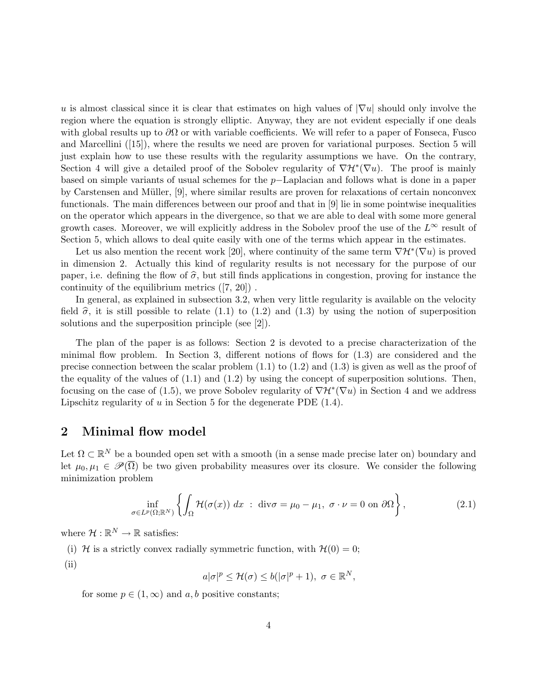u is almost classical since it is clear that estimates on high values of  $|\nabla u|$  should only involve the region where the equation is strongly elliptic. Anyway, they are not evident especially if one deals with global results up to  $\partial\Omega$  or with variable coefficients. We will refer to a paper of Fonseca, Fusco and Marcellini ([15]), where the results we need are proven for variational purposes. Section 5 will just explain how to use these results with the regularity assumptions we have. On the contrary, Section 4 will give a detailed proof of the Sobolev regularity of  $\nabla \mathcal{H}^*(\nabla u)$ . The proof is mainly based on simple variants of usual schemes for the p−Laplacian and follows what is done in a paper by Carstensen and Müller,  $[9]$ , where similar results are proven for relaxations of certain nonconvex functionals. The main differences between our proof and that in [9] lie in some pointwise inequalities on the operator which appears in the divergence, so that we are able to deal with some more general growth cases. Moreover, we will explicitly address in the Sobolev proof the use of the  $L^{\infty}$  result of Section 5, which allows to deal quite easily with one of the terms which appear in the estimates.

Let us also mention the recent work [20], where continuity of the same term  $\nabla \mathcal{H}^*(\nabla u)$  is proved in dimension 2. Actually this kind of regularity results is not necessary for the purpose of our paper, i.e. defining the flow of  $\hat{\sigma}$ , but still finds applications in congestion, proving for instance the continuity of the equilibrium metrics ([7, 20]) .

In general, as explained in subsection 3.2, when very little regularity is available on the velocity field  $\hat{\sigma}$ , it is still possible to relate (1.1) to (1.2) and (1.3) by using the notion of superposition solutions and the superposition principle (see [2]).

The plan of the paper is as follows: Section 2 is devoted to a precise characterization of the minimal flow problem. In Section 3, different notions of flows for (1.3) are considered and the precise connection between the scalar problem  $(1.1)$  to  $(1.2)$  and  $(1.3)$  is given as well as the proof of the equality of the values of  $(1.1)$  and  $(1.2)$  by using the concept of superposition solutions. Then, focusing on the case of (1.5), we prove Sobolev regularity of  $\nabla \mathcal{H}^*(\nabla u)$  in Section 4 and we address Lipschitz regularity of  $u$  in Section 5 for the degenerate PDE  $(1.4)$ .

### 2 Minimal flow model

Let  $\Omega \subset \mathbb{R}^N$  be a bounded open set with a smooth (in a sense made precise later on) boundary and let  $\mu_0, \mu_1 \in \mathscr{P}(\overline{\Omega})$  be two given probability measures over its closure. We consider the following minimization problem

$$
\inf_{\sigma \in L^p(\Omega; \mathbb{R}^N)} \left\{ \int_{\Omega} \mathcal{H}(\sigma(x)) \, dx \; : \; \text{div}\sigma = \mu_0 - \mu_1, \; \sigma \cdot \nu = 0 \text{ on } \partial \Omega \right\},\tag{2.1}
$$

where  $\mathcal{H}:\mathbb{R}^N\to\mathbb{R}$  satisfies:

(i) H is a strictly convex radially symmetric function, with  $H(0) = 0$ ; (ii)

$$
a|\sigma|^p \le \mathcal{H}(\sigma) \le b(|\sigma|^p + 1), \ \sigma \in \mathbb{R}^N,
$$

for some  $p \in (1,\infty)$  and  $a, b$  positive constants;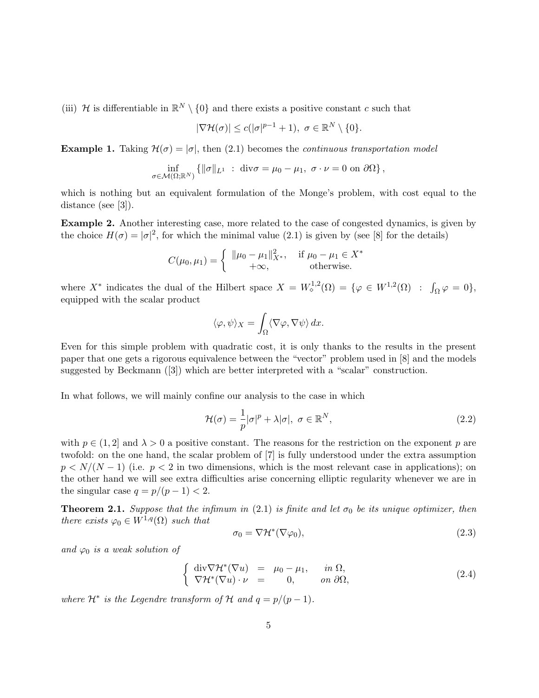(iii) H is differentiable in  $\mathbb{R}^N \setminus \{0\}$  and there exists a positive constant c such that

$$
|\nabla \mathcal{H}(\sigma)| \le c(|\sigma|^{p-1} + 1), \ \sigma \in \mathbb{R}^N \setminus \{0\}.
$$

**Example 1.** Taking  $\mathcal{H}(\sigma) = |\sigma|$ , then (2.1) becomes the *continuous transportation model* 

$$
\inf_{\sigma \in \mathcal{M}(\Omega;\mathbb{R}^N)} \left\{ \|\sigma\|_{L^1} \; : \; \text{div}\sigma = \mu_0 - \mu_1, \; \sigma \cdot \nu = 0 \text{ on } \partial\Omega \right\},
$$

which is nothing but an equivalent formulation of the Monge's problem, with cost equal to the distance (see [3]).

Example 2. Another interesting case, more related to the case of congested dynamics, is given by the choice  $H(\sigma) = |\sigma|^2$ , for which the minimal value (2.1) is given by (see [8] for the details)

$$
C(\mu_0, \mu_1) = \begin{cases} \|\mu_0 - \mu_1\|_{X^*}^2, & \text{if } \mu_0 - \mu_1 \in X^*\\ +\infty, & \text{otherwise.} \end{cases}
$$

where  $X^*$  indicates the dual of the Hilbert space  $X = W^{1,2}_\diamond(\Omega) = \{ \varphi \in W^{1,2}(\Omega) : \int_{\Omega} \varphi = 0 \},$ equipped with the scalar product

$$
\langle \varphi, \psi \rangle_X = \int_{\Omega} \langle \nabla \varphi, \nabla \psi \rangle \, dx.
$$

Even for this simple problem with quadratic cost, it is only thanks to the results in the present paper that one gets a rigorous equivalence between the "vector" problem used in [8] and the models suggested by Beckmann  $([3])$  which are better interpreted with a "scalar" construction.

In what follows, we will mainly confine our analysis to the case in which

$$
\mathcal{H}(\sigma) = \frac{1}{p} |\sigma|^p + \lambda |\sigma|, \ \sigma \in \mathbb{R}^N,
$$
\n(2.2)

with  $p \in (1, 2]$  and  $\lambda > 0$  a positive constant. The reasons for the restriction on the exponent p are twofold: on the one hand, the scalar problem of [7] is fully understood under the extra assumption  $p < N/(N-1)$  (i.e.  $p < 2$  in two dimensions, which is the most relevant case in applications); on the other hand we will see extra difficulties arise concerning elliptic regularity whenever we are in the singular case  $q = p/(p-1) < 2$ .

**Theorem 2.1.** Suppose that the infimum in (2.1) is finite and let  $\sigma_0$  be its unique optimizer, then there exists  $\varphi_0 \in W^{1,q}(\Omega)$  such that

$$
\sigma_0 = \nabla \mathcal{H}^*(\nabla \varphi_0),\tag{2.3}
$$

and  $\varphi_0$  is a weak solution of

$$
\begin{cases}\n\operatorname{div} \nabla \mathcal{H}^*(\nabla u) = \mu_0 - \mu_1, & \text{in } \Omega, \\
\nabla \mathcal{H}^*(\nabla u) \cdot \nu = 0, & \text{on } \partial \Omega,\n\end{cases}
$$
\n(2.4)

where  $\mathcal{H}^*$  is the Legendre transform of  $\mathcal{H}$  and  $q = p/(p-1)$ .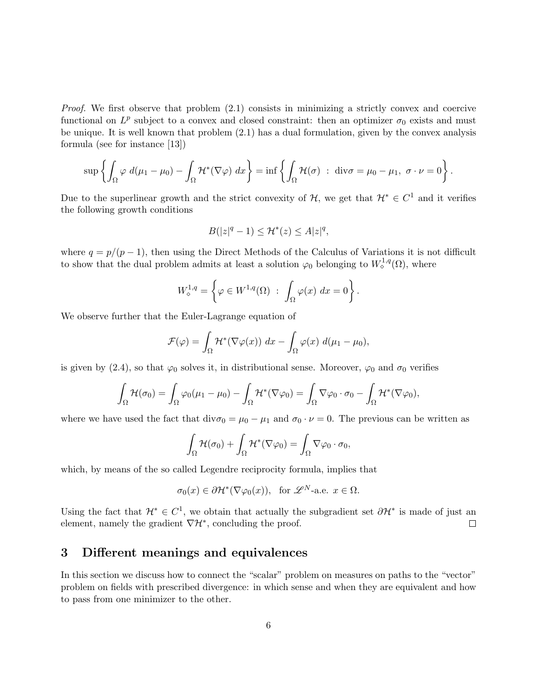Proof. We first observe that problem  $(2.1)$  consists in minimizing a strictly convex and coercive functional on  $L^p$  subject to a convex and closed constraint: then an optimizer  $\sigma_0$  exists and must be unique. It is well known that problem (2.1) has a dual formulation, given by the convex analysis formula (see for instance [13])

$$
\sup\left\{\int_{\Omega}\varphi\ d(\mu_1-\mu_0)-\int_{\Omega}\mathcal{H}^*(\nabla\varphi)\ dx\right\}=\inf\left\{\int_{\Omega}\mathcal{H}(\sigma)\ :\ \text{div}\sigma=\mu_0-\mu_1,\ \sigma\cdot\nu=0\right\}.
$$

Due to the superlinear growth and the strict convexity of  $H$ , we get that  $\mathcal{H}^* \in C^1$  and it verifies the following growth conditions

$$
B(|z|^q - 1) \le \mathcal{H}^*(z) \le A|z|^q,
$$

where  $q = p/(p-1)$ , then using the Direct Methods of the Calculus of Variations it is not difficult to show that the dual problem admits at least a solution  $\varphi_0$  belonging to  $W_0^{1,q}(\Omega)$ , where

$$
W_{\diamond}^{1,q} = \left\{ \varphi \in W^{1,q}(\Omega) \; : \; \int_{\Omega} \varphi(x) \; dx = 0 \right\}.
$$

We observe further that the Euler-Lagrange equation of

$$
\mathcal{F}(\varphi) = \int_{\Omega} \mathcal{H}^*(\nabla \varphi(x)) \, dx - \int_{\Omega} \varphi(x) \, d(\mu_1 - \mu_0),
$$

is given by (2.4), so that  $\varphi_0$  solves it, in distributional sense. Moreover,  $\varphi_0$  and  $\sigma_0$  verifies

$$
\int_{\Omega} \mathcal{H}(\sigma_0) = \int_{\Omega} \varphi_0(\mu_1 - \mu_0) - \int_{\Omega} \mathcal{H}^*(\nabla \varphi_0) = \int_{\Omega} \nabla \varphi_0 \cdot \sigma_0 - \int_{\Omega} \mathcal{H}^*(\nabla \varphi_0),
$$

where we have used the fact that  $div\sigma_0 = \mu_0 - \mu_1$  and  $\sigma_0 \cdot \nu = 0$ . The previous can be written as

$$
\int_{\Omega} \mathcal{H}(\sigma_0) + \int_{\Omega} \mathcal{H}^*(\nabla \varphi_0) = \int_{\Omega} \nabla \varphi_0 \cdot \sigma_0,
$$

which, by means of the so called Legendre reciprocity formula, implies that

$$
\sigma_0(x) \in \partial \mathcal{H}^*(\nabla \varphi_0(x)), \text{ for } \mathscr{L}^N \text{-a.e. } x \in \Omega.
$$

Using the fact that  $\mathcal{H}^* \in C^1$ , we obtain that actually the subgradient set  $\partial \mathcal{H}^*$  is made of just an element, namely the gradient  $\nabla \mathcal{H}^*$ , concluding the proof.  $\Box$ 

### 3 Different meanings and equivalences

In this section we discuss how to connect the "scalar" problem on measures on paths to the "vector" problem on fields with prescribed divergence: in which sense and when they are equivalent and how to pass from one minimizer to the other.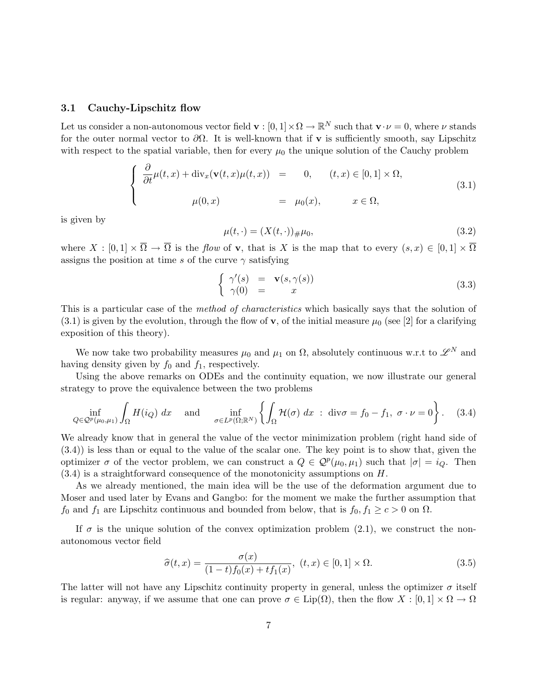#### 3.1 Cauchy-Lipschitz flow

Let us consider a non-autonomous vector field  $\mathbf{v} : [0,1] \times \Omega \to \mathbb{R}^N$  such that  $\mathbf{v} \cdot \nu = 0$ , where  $\nu$  stands for the outer normal vector to  $\partial\Omega$ . It is well-known that if v is sufficiently smooth, say Lipschitz with respect to the spatial variable, then for every  $\mu_0$  the unique solution of the Cauchy problem

$$
\begin{cases}\n\frac{\partial}{\partial t}\mu(t,x) + \operatorname{div}_x(\mathbf{v}(t,x)\mu(t,x)) = 0, & (t,x) \in [0,1] \times \Omega, \\
\mu(0,x) = \mu_0(x), & x \in \Omega,\n\end{cases}
$$
\n(3.1)

is given by

$$
\mu(t, \cdot) = (X(t, \cdot))_{\#}\mu_0,\tag{3.2}
$$

where  $X : [0,1] \times \overline{\Omega} \to \overline{\Omega}$  is the flow of **v**, that is X is the map that to every  $(s, x) \in [0,1] \times \overline{\Omega}$ assigns the position at time s of the curve  $\gamma$  satisfying

$$
\begin{cases}\n\gamma'(s) = \mathbf{v}(s, \gamma(s)) \\
\gamma(0) = x\n\end{cases}
$$
\n(3.3)

This is a particular case of the *method of characteristics* which basically says that the solution of  $(3.1)$  is given by the evolution, through the flow of **v**, of the initial measure  $\mu_0$  (see [2] for a clarifying exposition of this theory).

We now take two probability measures  $\mu_0$  and  $\mu_1$  on  $\Omega$ , absolutely continuous w.r.t to  $\mathscr{L}^N$  and having density given by  $f_0$  and  $f_1$ , respectively.

Using the above remarks on ODEs and the continuity equation, we now illustrate our general strategy to prove the equivalence between the two problems

$$
\inf_{Q \in \mathcal{Q}^p(\mu_0, \mu_1)} \int_{\Omega} H(i_Q) \, dx \quad \text{and} \quad \inf_{\sigma \in L^p(\Omega; \mathbb{R}^N)} \left\{ \int_{\Omega} \mathcal{H}(\sigma) \, dx \; : \; \text{div}\sigma = f_0 - f_1, \; \sigma \cdot \nu = 0 \right\}. \tag{3.4}
$$

We already know that in general the value of the vector minimization problem (right hand side of (3.4)) is less than or equal to the value of the scalar one. The key point is to show that, given the optimizer  $\sigma$  of the vector problem, we can construct a  $Q \in \mathcal{Q}^p(\mu_0, \mu_1)$  such that  $|\sigma| = i_Q$ . Then  $(3.4)$  is a straightforward consequence of the monotonicity assumptions on  $H$ .

As we already mentioned, the main idea will be the use of the deformation argument due to Moser and used later by Evans and Gangbo: for the moment we make the further assumption that  $f_0$  and  $f_1$  are Lipschitz continuous and bounded from below, that is  $f_0, f_1 \geq c > 0$  on  $\Omega$ .

If  $\sigma$  is the unique solution of the convex optimization problem (2.1), we construct the nonautonomous vector field

$$
\widehat{\sigma}(t,x) = \frac{\sigma(x)}{(1-t)f_0(x) + tf_1(x)}, \ (t,x) \in [0,1] \times \Omega.
$$
 (3.5)

The latter will not have any Lipschitz continuity property in general, unless the optimizer  $\sigma$  itself is regular: anyway, if we assume that one can prove  $\sigma \in \text{Lip}(\Omega)$ , then the flow  $X : [0,1] \times \Omega \to \Omega$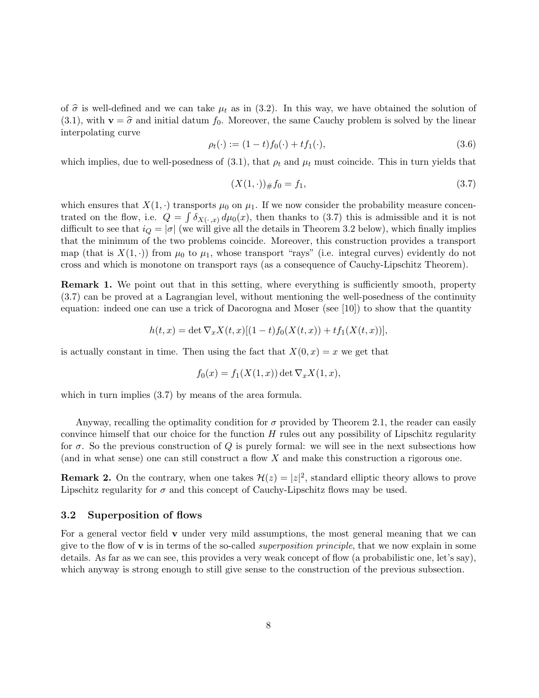of  $\hat{\sigma}$  is well-defined and we can take  $\mu_t$  as in (3.2). In this way, we have obtained the solution of (3.1), with  $\mathbf{v} = \hat{\sigma}$  and initial datum  $f_0$ . Moreover, the same Cauchy problem is solved by the linear interpolating curve

$$
\rho_t(\cdot) := (1-t)f_0(\cdot) + tf_1(\cdot),\tag{3.6}
$$

which implies, due to well-posedness of (3.1), that  $\rho_t$  and  $\mu_t$  must coincide. This in turn yields that

$$
(X(1, \cdot))_{\#} f_0 = f_1,\tag{3.7}
$$

which ensures that  $X(1, \cdot)$  transports  $\mu_0$  on  $\mu_1$ . If we now consider the probability measure concentrated on the flow, i.e.  $Q = \int \delta_{X(\cdot, x)} d\mu_0(x)$ , then thanks to (3.7) this is admissible and it is not difficult to see that  $i_Q = |\sigma|$  (we will give all the details in Theorem 3.2 below), which finally implies that the minimum of the two problems coincide. Moreover, this construction provides a transport map (that is  $X(1, \cdot)$ ) from  $\mu_0$  to  $\mu_1$ , whose transport "rays" (i.e. integral curves) evidently do not cross and which is monotone on transport rays (as a consequence of Cauchy-Lipschitz Theorem).

**Remark 1.** We point out that in this setting, where everything is sufficiently smooth, property (3.7) can be proved at a Lagrangian level, without mentioning the well-posedness of the continuity equation: indeed one can use a trick of Dacorogna and Moser (see [10]) to show that the quantity

$$
h(t,x) = \det \nabla_x X(t,x)[(1-t)f_0(X(t,x)) + tf_1(X(t,x))],
$$

is actually constant in time. Then using the fact that  $X(0, x) = x$  we get that

$$
f_0(x) = f_1(X(1, x)) \det \nabla_x X(1, x),
$$

which in turn implies  $(3.7)$  by means of the area formula.

Anyway, recalling the optimality condition for  $\sigma$  provided by Theorem 2.1, the reader can easily convince himself that our choice for the function  $H$  rules out any possibility of Lipschitz regularity for  $\sigma$ . So the previous construction of Q is purely formal: we will see in the next subsections how (and in what sense) one can still construct a flow  $X$  and make this construction a rigorous one.

**Remark 2.** On the contrary, when one takes  $\mathcal{H}(z) = |z|^2$ , standard elliptic theory allows to prove Lipschitz regularity for  $\sigma$  and this concept of Cauchy-Lipschitz flows may be used.

#### 3.2 Superposition of flows

For a general vector field  $\bf{v}$  under very mild assumptions, the most general meaning that we can give to the flow of  $\bf{v}$  is in terms of the so-called *superposition principle*, that we now explain in some details. As far as we can see, this provides a very weak concept of flow (a probabilistic one, let's say), which anyway is strong enough to still give sense to the construction of the previous subsection.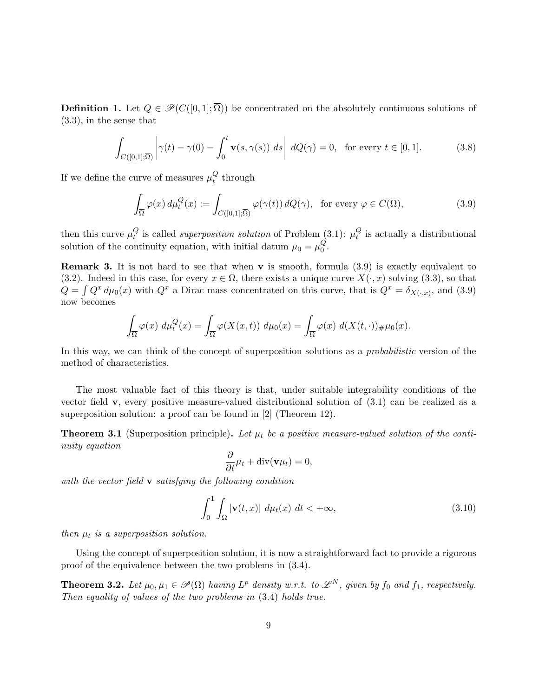**Definition 1.** Let  $Q \in \mathcal{P}(C([0,1];\overline{\Omega}))$  be concentrated on the absolutely continuous solutions of (3.3), in the sense that

$$
\int_{C([0,1];\overline{\Omega})} \left| \gamma(t) - \gamma(0) - \int_0^t \mathbf{v}(s,\gamma(s)) \, ds \right| \, dQ(\gamma) = 0, \text{ for every } t \in [0,1]. \tag{3.8}
$$

If we define the curve of measures  $\mu_t^Q$  $_t^Q$  through

$$
\int_{\overline{\Omega}} \varphi(x) d\mu_t^Q(x) := \int_{C([0,1];\overline{\Omega})} \varphi(\gamma(t)) dQ(\gamma), \text{ for every } \varphi \in C(\overline{\Omega}),
$$
\n(3.9)

then this curve  $\mu_t^Q$  $_{t}^{Q}$  is called *superposition solution* of Problem (3.1):  $\mu_{t}^{Q}$  $\mathcal{C}_t$  is actually a distributional solution of the continuity equation, with initial datum  $\mu_0 = \mu_0^Q$  $\frac{Q}{0}$ .

**Remark 3.** It is not hard to see that when **v** is smooth, formula  $(3.9)$  is exactly equivalent to (3.2). Indeed in this case, for every  $x \in \Omega$ , there exists a unique curve  $X(\cdot, x)$  solving (3.3), so that  $Q = \int Q^x d\mu_0(x)$  with  $Q^x$  a Dirac mass concentrated on this curve, that is  $Q^x = \delta_{X(\cdot,x)}$ , and (3.9) now becomes

$$
\int_{\overline{\Omega}} \varphi(x) d\mu_t^Q(x) = \int_{\overline{\Omega}} \varphi(X(x,t)) d\mu_0(x) = \int_{\overline{\Omega}} \varphi(x) d(X(t,\cdot))_{\#}\mu_0(x).
$$

In this way, we can think of the concept of superposition solutions as a *probabilistic* version of the method of characteristics.

The most valuable fact of this theory is that, under suitable integrability conditions of the vector field  $\bf{v}$ , every positive measure-valued distributional solution of  $(3.1)$  can be realized as a superposition solution: a proof can be found in [2] (Theorem 12).

**Theorem 3.1** (Superposition principle). Let  $\mu_t$  be a positive measure-valued solution of the continuity equation

$$
\frac{\partial}{\partial t}\mu_t + \text{div}(\mathbf{v}\mu_t) = 0,
$$

with the vector field **v** satisfying the following condition

$$
\int_0^1 \int_{\Omega} |\mathbf{v}(t,x)| d\mu_t(x) dt < +\infty,
$$
\n(3.10)

then  $\mu_t$  is a superposition solution.

Using the concept of superposition solution, it is now a straightforward fact to provide a rigorous proof of the equivalence between the two problems in (3.4).

**Theorem 3.2.** Let  $\mu_0, \mu_1 \in \mathcal{P}(\Omega)$  having  $L^p$  density w.r.t. to  $\mathcal{L}^N$ , given by  $f_0$  and  $f_1$ , respectively. Then equality of values of the two problems in (3.4) holds true.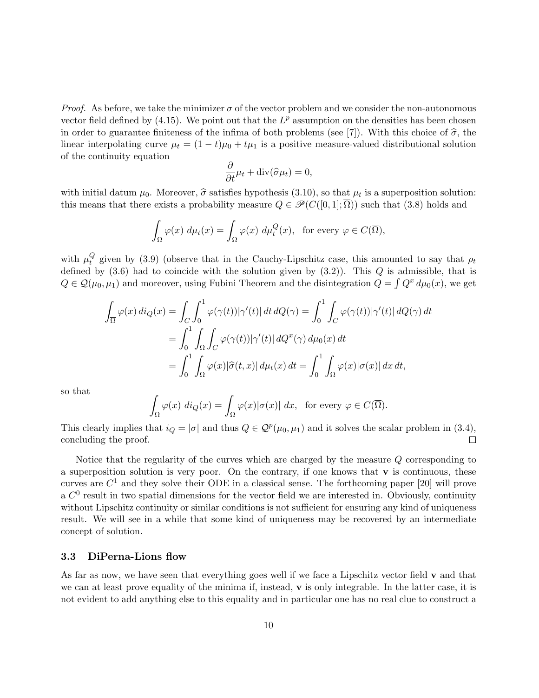*Proof.* As before, we take the minimizer  $\sigma$  of the vector problem and we consider the non-autonomous vector field defined by  $(4.15)$ . We point out that the  $L^p$  assumption on the densities has been chosen in order to guarantee finiteness of the infima of both problems (see [7]). With this choice of  $\hat{\sigma}$ , the linear interpolating curve  $\mu_t = (1 - t)\mu_0 + t\mu_1$  is a positive measure-valued distributional solution of the continuity equation

$$
\frac{\partial}{\partial t}\mu_t + \operatorname{div}(\widehat{\sigma}\mu_t) = 0,
$$

with initial datum  $\mu_0$ . Moreover,  $\hat{\sigma}$  satisfies hypothesis (3.10), so that  $\mu_t$  is a superposition solution:<br>this means that there exists a probability measure  $\hat{O} \subset \mathcal{B}(C([0, 1], \overline{O}))$  such that (3.8) holds an this means that there exists a probability measure  $Q \in \mathcal{P}(C([0,1];\overline{\Omega}))$  such that (3.8) holds and

$$
\int_{\Omega} \varphi(x) \, d\mu_t(x) = \int_{\Omega} \varphi(x) \, d\mu_t^Q(x), \text{ for every } \varphi \in C(\overline{\Omega}),
$$

with  $\mu_t^Q$  $t_t^Q$  given by (3.9) (observe that in the Cauchy-Lipschitz case, this amounted to say that  $\rho_t$ defined by  $(3.6)$  had to coincide with the solution given by  $(3.2)$ ). This Q is admissible, that is  $Q \in \mathcal{Q}(\mu_0, \mu_1)$  and moreover, using Fubini Theorem and the disintegration  $Q = \int Q^x d\mu_0(x)$ , we get

$$
\int_{\overline{\Omega}} \varphi(x) \, di_Q(x) = \int_C \int_0^1 \varphi(\gamma(t)) |\gamma'(t)| \, dt \, dQ(\gamma) = \int_0^1 \int_C \varphi(\gamma(t)) |\gamma'(t)| \, dQ(\gamma) \, dt
$$
\n
$$
= \int_0^1 \int_{\Omega} \int_C \varphi(\gamma(t)) |\gamma'(t)| \, dQ^x(\gamma) \, d\mu_0(x) \, dt
$$
\n
$$
= \int_0^1 \int_{\Omega} \varphi(x) |\widehat{\sigma}(t,x)| \, d\mu_t(x) \, dt = \int_0^1 \int_{\Omega} \varphi(x) |\sigma(x)| \, dx \, dt,
$$

so that

$$
\int_{\Omega} \varphi(x) \, di_Q(x) = \int_{\Omega} \varphi(x) |\sigma(x)| \, dx, \text{ for every } \varphi \in C(\overline{\Omega}).
$$

This clearly implies that  $i_Q = |\sigma|$  and thus  $Q \in \mathcal{Q}^p(\mu_0, \mu_1)$  and it solves the scalar problem in (3.4), concluding the proof.  $\Box$ 

Notice that the regularity of the curves which are charged by the measure Q corresponding to a superposition solution is very poor. On the contrary, if one knows that  $\bf{v}$  is continuous, these curves are  $C^1$  and they solve their ODE in a classical sense. The forthcoming paper [20] will prove a  $C<sup>0</sup>$  result in two spatial dimensions for the vector field we are interested in. Obviously, continuity without Lipschitz continuity or similar conditions is not sufficient for ensuring any kind of uniqueness result. We will see in a while that some kind of uniqueness may be recovered by an intermediate concept of solution.

#### 3.3 DiPerna-Lions flow

As far as now, we have seen that everything goes well if we face a Lipschitz vector field  $\bf{v}$  and that we can at least prove equality of the minima if, instead, v is only integrable. In the latter case, it is not evident to add anything else to this equality and in particular one has no real clue to construct a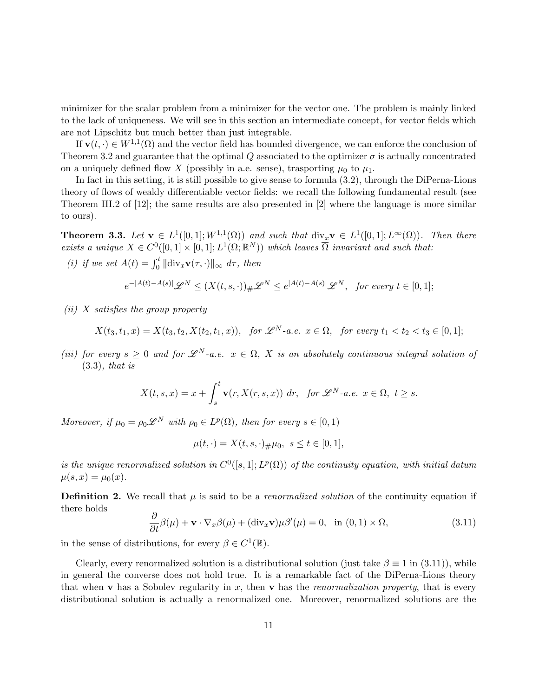minimizer for the scalar problem from a minimizer for the vector one. The problem is mainly linked to the lack of uniqueness. We will see in this section an intermediate concept, for vector fields which are not Lipschitz but much better than just integrable.

If  $\mathbf{v}(t, \cdot) \in W^{1,1}(\Omega)$  and the vector field has bounded divergence, we can enforce the conclusion of Theorem 3.2 and guarantee that the optimal Q associated to the optimizer  $\sigma$  is actually concentrated on a uniquely defined flow X (possibly in a.e. sense), trasporting  $\mu_0$  to  $\mu_1$ .

In fact in this setting, it is still possible to give sense to formula (3.2), through the DiPerna-Lions theory of flows of weakly differentiable vector fields: we recall the following fundamental result (see Theorem III.2 of [12]; the same results are also presented in [2] where the language is more similar to ours).

**Theorem 3.3.** Let  $\mathbf{v} \in L^1([0,1];W^{1,1}(\Omega))$  and such that  $\text{div}_x \mathbf{v} \in L^1([0,1];L^{\infty}(\Omega))$ . Then there exists a unique  $X \in C^0([0,1] \times [0,1]; L^1(\Omega;\mathbb{R}^N))$  which leaves  $\overline{\Omega}$  invariant and such that:

(i) if we set  $A(t) = \int_0^t ||div_x \mathbf{v}(\tau, \cdot)||_{\infty} d\tau$ , then

$$
e^{-|A(t)-A(s)|}\mathscr{L}^N \le (X(t,s,\cdot))_\# \mathscr{L}^N \le e^{|A(t)-A(s)|}\mathscr{L}^N, \text{ for every } t \in [0,1];
$$

 $(ii)$  X satisfies the group property

$$
X(t_3, t_1, x) = X(t_3, t_2, X(t_2, t_1, x)), \text{ for } \mathscr{L}^N \text{-a.e. } x \in \Omega, \text{ for every } t_1 < t_2 < t_3 \in [0, 1];
$$

(iii) for every  $s \geq 0$  and for  $\mathscr{L}^N$ -a.e.  $x \in \Omega$ , X is an absolutely continuous integral solution of (3.3), that is

$$
X(t,s,x) = x + \int_s^t \mathbf{v}(r, X(r,s,x)) \, dr, \text{ for } \mathscr{L}^N \text{-a.e. } x \in \Omega, \ t \ge s.
$$

Moreover, if  $\mu_0 = \rho_0 \mathscr{L}^N$  with  $\rho_0 \in L^p(\Omega)$ , then for every  $s \in [0,1)$ 

$$
\mu(t, \cdot) = X(t, s, \cdot) \# \mu_0, \ s \le t \in [0, 1],
$$

is the unique renormalized solution in  $C^0([s,1];L^p(\Omega))$  of the continuity equation, with initial datum  $\mu(s, x) = \mu_0(x)$ .

**Definition 2.** We recall that  $\mu$  is said to be a *renormalized solution* of the continuity equation if there holds

$$
\frac{\partial}{\partial t}\beta(\mu) + \mathbf{v} \cdot \nabla_x \beta(\mu) + (\text{div}_x \mathbf{v})\mu \beta'(\mu) = 0, \text{ in } (0,1) \times \Omega,
$$
\n(3.11)

in the sense of distributions, for every  $\beta \in C^1(\mathbb{R})$ .

Clearly, every renormalized solution is a distributional solution (just take  $\beta \equiv 1$  in (3.11)), while in general the converse does not hold true. It is a remarkable fact of the DiPerna-Lions theory that when v has a Sobolev regularity in x, then v has the renormalization property, that is every distributional solution is actually a renormalized one. Moreover, renormalized solutions are the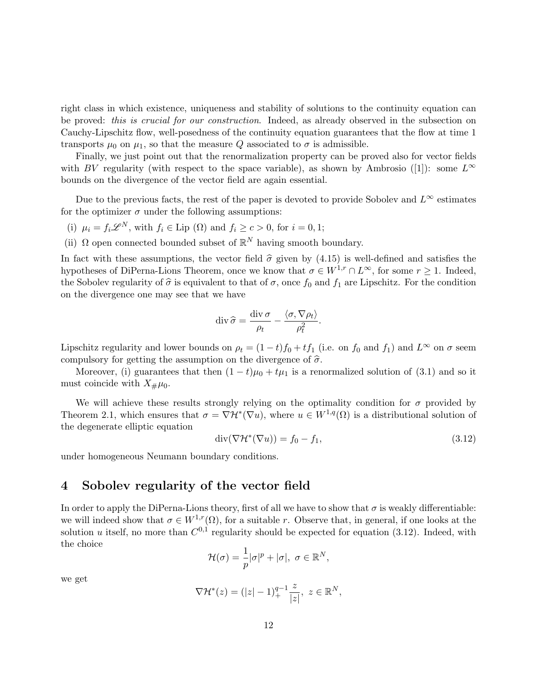right class in which existence, uniqueness and stability of solutions to the continuity equation can be proved: *this is crucial for our construction*. Indeed, as already observed in the subsection on Cauchy-Lipschitz flow, well-posedness of the continuity equation guarantees that the flow at time 1 transports  $\mu_0$  on  $\mu_1$ , so that the measure Q associated to  $\sigma$  is admissible.

Finally, we just point out that the renormalization property can be proved also for vector fields with BV regularity (with respect to the space variable), as shown by Ambrosio ([1]): some  $L^{\infty}$ bounds on the divergence of the vector field are again essential.

Due to the previous facts, the rest of the paper is devoted to provide Sobolev and  $L^{\infty}$  estimates for the optimizer  $\sigma$  under the following assumptions:

- (i)  $\mu_i = f_i \mathscr{L}^N$ , with  $f_i \in \text{Lip }(\Omega)$  and  $f_i \ge c > 0$ , for  $i = 0, 1$ ;
- (ii)  $\Omega$  open connected bounded subset of  $\mathbb{R}^N$  having smooth boundary.

In fact with these assumptions, the vector field  $\hat{\sigma}$  given by (4.15) is well-defined and satisfies the hypotheses of DiPerna-Lions Theorem, once we know that  $\sigma \in W^{1,r} \cap L^{\infty}$ , for some  $r \geq 1$ . Indeed, the Sobolev regularity of  $\hat{\sigma}$  is equivalent to that of  $\sigma$ , once  $f_0$  and  $f_1$  are Lipschitz. For the condition on the divergence one may see that we have

$$
\operatorname{div} \widehat{\sigma} = \frac{\operatorname{div} \sigma}{\rho_t} - \frac{\langle \sigma, \nabla \rho_t \rangle}{\rho_t^2}.
$$

Lipschitz regularity and lower bounds on  $\rho_t = (1-t)f_0 + tf_1$  (i.e. on  $f_0$  and  $f_1$ ) and  $L^{\infty}$  on  $\sigma$  seem compulsory for getting the assumption on the divergence of  $\hat{\sigma}$ .

Moreover, (i) guarantees that then  $(1-t)\mu_0 + t\mu_1$  is a renormalized solution of (3.1) and so it must coincide with  $X_{\#}\mu_0$ .

We will achieve these results strongly relying on the optimality condition for  $\sigma$  provided by Theorem 2.1, which ensures that  $\sigma = \nabla \mathcal{H}^*(\nabla u)$ , where  $u \in W^{1,q}(\Omega)$  is a distributional solution of the degenerate elliptic equation

$$
\operatorname{div}(\nabla \mathcal{H}^*(\nabla u)) = f_0 - f_1,\tag{3.12}
$$

under homogeneous Neumann boundary conditions.

### 4 Sobolev regularity of the vector field

In order to apply the DiPerna-Lions theory, first of all we have to show that  $\sigma$  is weakly differentiable: we will indeed show that  $\sigma \in W^{1,r}(\Omega)$ , for a suitable r. Observe that, in general, if one looks at the solution u itself, no more than  $C^{0,1}$  regularity should be expected for equation (3.12). Indeed, with the choice

$$
\mathcal{H}(\sigma) = \frac{1}{p} |\sigma|^p + |\sigma|, \ \sigma \in \mathbb{R}^N,
$$

we get

$$
\nabla \mathcal{H}^*(z) = (|z| - 1)_{+}^{q-1} \frac{z}{|z|}, \ z \in \mathbb{R}^N,
$$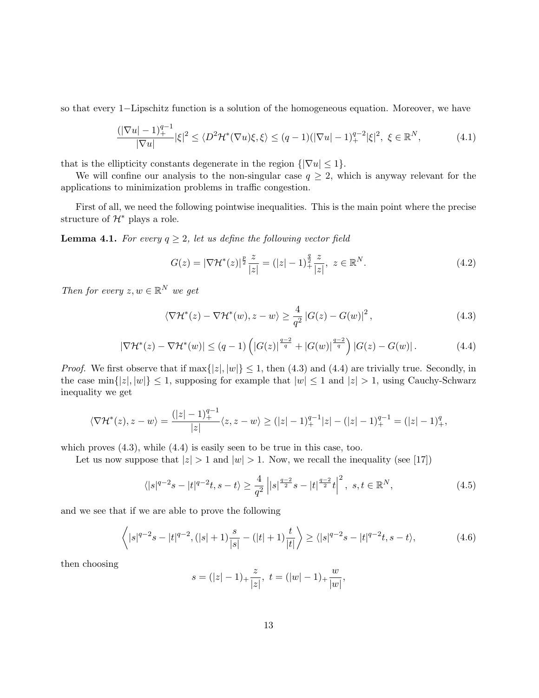so that every 1−Lipschitz function is a solution of the homogeneous equation. Moreover, we have

$$
\frac{(|\nabla u| - 1)_+^{q-1}}{|\nabla u|} |\xi|^2 \le \langle D^2 \mathcal{H}^*(\nabla u)\xi, \xi \rangle \le (q-1)(|\nabla u| - 1)_+^{q-2} |\xi|^2, \ \xi \in \mathbb{R}^N,\tag{4.1}
$$

that is the ellipticity constants degenerate in the region  $\{|\nabla u| \leq 1\}.$ 

We will confine our analysis to the non-singular case  $q \geq 2$ , which is anyway relevant for the applications to minimization problems in traffic congestion.

First of all, we need the following pointwise inequalities. This is the main point where the precise structure of  $\mathcal{H}^*$  plays a role.

**Lemma 4.1.** For every  $q \geq 2$ , let us define the following vector field

$$
G(z) = |\nabla \mathcal{H}^*(z)|^{\frac{p}{2}} \frac{z}{|z|} = (|z| - 1)^{\frac{q}{2}} \frac{z}{|z|}, \ z \in \mathbb{R}^N.
$$
 (4.2)

Then for every  $z, w \in \mathbb{R}^N$  we get

$$
\langle \nabla \mathcal{H}^*(z) - \nabla \mathcal{H}^*(w), z - w \rangle \ge \frac{4}{q^2} \left| G(z) - G(w) \right|^2, \tag{4.3}
$$

$$
|\nabla \mathcal{H}^*(z) - \nabla \mathcal{H}^*(w)| \le (q-1) \left( |G(z)|^{\frac{q-2}{q}} + |G(w)|^{\frac{q-2}{q}} \right) |G(z) - G(w)|. \tag{4.4}
$$

*Proof.* We first observe that if max $\{|z|, |w|\} \leq 1$ , then (4.3) and (4.4) are trivially true. Secondly, in the case  $\min\{|z|, |w|\} \leq 1$ , supposing for example that  $|w| \leq 1$  and  $|z| > 1$ , using Cauchy-Schwarz inequality we get

$$
\langle \nabla \mathcal{H}^*(z), z - w \rangle = \frac{(|z| - 1)_+^{q-1}}{|z|} \langle z, z - w \rangle \ge (|z| - 1)_+^{q-1} |z| - (|z| - 1)_+^{q-1} = (|z| - 1)_+^q,
$$

which proves  $(4.3)$ , while  $(4.4)$  is easily seen to be true in this case, too.

Let us now suppose that  $|z| > 1$  and  $|w| > 1$ . Now, we recall the inequality (see [17])

$$
\langle |s|^{q-2}s - |t|^{q-2}t, s-t \rangle \ge \frac{4}{q^2} \left| |s|^{\frac{q-2}{2}}s - |t|^{\frac{q-2}{2}}t \right|^2, \ s, t \in \mathbb{R}^N,
$$
\n(4.5)

and we see that if we are able to prove the following

$$
\left\langle |s|^{q-2}s - |t|^{q-2}, (|s|+1)\frac{s}{|s|} - (|t|+1)\frac{t}{|t|} \right\rangle \ge \langle |s|^{q-2}s - |t|^{q-2}t, s-t \rangle, \tag{4.6}
$$

then choosing

$$
s = (|z| - 1) + \frac{z}{|z|}, \ t = (|w| - 1) + \frac{w}{|w|},
$$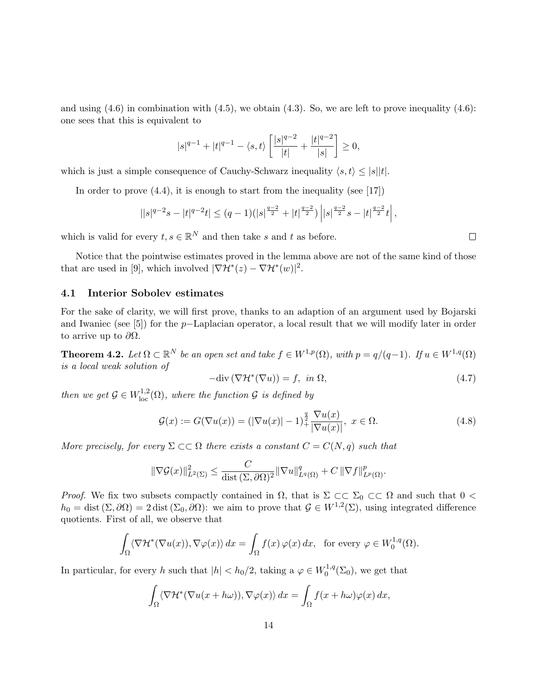and using  $(4.6)$  in combination with  $(4.5)$ , we obtain  $(4.3)$ . So, we are left to prove inequality  $(4.6)$ : one sees that this is equivalent to

$$
|s|^{q-1} + |t|^{q-1} - \langle s, t \rangle \left[ \frac{|s|^{q-2}}{|t|} + \frac{|t|^{q-2}}{|s|} \right] \ge 0,
$$

which is just a simple consequence of Cauchy-Schwarz inequality  $\langle s, t \rangle \leq |s||t|$ .

In order to prove  $(4.4)$ , it is enough to start from the inequality (see [17])

$$
||s|^{q-2}s-|t|^{q-2}t|\leq (q-1)(|s|^{\frac{q-2}{2}}+|t|^{\frac{q-2}{2}})\left||s|^{\frac{q-2}{2}}s-|t|^{\frac{q-2}{2}}t\right|,
$$

which is valid for every  $t, s \in \mathbb{R}^N$  and then take s and t as before.

Notice that the pointwise estimates proved in the lemma above are not of the same kind of those that are used in [9], which involved  $|\nabla \mathcal{H}^*(z) - \nabla \mathcal{H}^*(w)|^2$ .

#### 4.1 Interior Sobolev estimates

For the sake of clarity, we will first prove, thanks to an adaption of an argument used by Bojarski and Iwaniec (see [5]) for the p−Laplacian operator, a local result that we will modify later in order to arrive up to  $\partial\Omega$ .

**Theorem 4.2.** Let  $\Omega \subset \mathbb{R}^N$  be an open set and take  $f \in W^{1,p}(\Omega)$ , with  $p = q/(q-1)$ . If  $u \in W^{1,q}(\Omega)$ is a local weak solution of

$$
-\text{div}\left(\nabla \mathcal{H}^*(\nabla u)\right) = f, \ \ \text{in } \Omega,
$$
\n
$$
(4.7)
$$

then we get  $\mathcal{G} \in W^{1,2}_{loc}(\Omega)$ , where the function  $\mathcal{G}$  is defined by

$$
\mathcal{G}(x) := G(\nabla u(x)) = (|\nabla u(x)| - 1)^{\frac{q}{2}} \frac{\nabla u(x)}{|\nabla u(x)|}, \ x \in \Omega.
$$
\n(4.8)

More precisely, for every  $\Sigma \subset\subset \Omega$  there exists a constant  $C = C(N, q)$  such that

$$
\|\nabla \mathcal{G}(x)\|_{L^2(\Sigma)}^2 \le \frac{C}{\text{dist}(\Sigma, \partial \Omega)^2} \|\nabla u\|_{L^q(\Omega)}^q + C \|\nabla f\|_{L^p(\Omega)}^p.
$$

*Proof.* We fix two subsets compactly contained in  $\Omega$ , that is  $\Sigma \subset\subset \Sigma_0 \subset\subset \Omega$  and such that  $0 <$  $h_0 = \text{dist}(\Sigma, \partial \Omega) = 2 \text{dist}(\Sigma_0, \partial \Omega)$ : we aim to prove that  $\mathcal{G} \in W^{1,2}(\Sigma)$ , using integrated difference quotients. First of all, we observe that

$$
\int_{\Omega} \langle \nabla \mathcal{H}^*(\nabla u(x)), \nabla \varphi(x) \rangle dx = \int_{\Omega} f(x) \varphi(x) dx, \text{ for every } \varphi \in W_0^{1,q}(\Omega).
$$

In particular, for every h such that  $|h| < h_0/2$ , taking a  $\varphi \in W_0^{1,q}$  $\mathcal{O}^{1,q}(\Sigma_0)$ , we get that

$$
\int_{\Omega} \langle \nabla \mathcal{H}^*(\nabla u(x + h\omega)), \nabla \varphi(x) \rangle dx = \int_{\Omega} f(x + h\omega) \varphi(x) dx,
$$

 $\Box$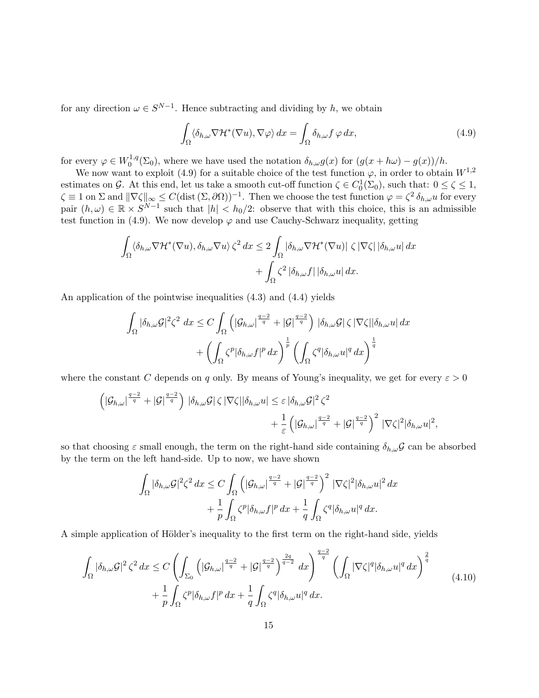for any direction  $\omega \in S^{N-1}$ . Hence subtracting and dividing by h, we obtain

$$
\int_{\Omega} \langle \delta_{h,\omega} \nabla \mathcal{H}^*(\nabla u), \nabla \varphi \rangle dx = \int_{\Omega} \delta_{h,\omega} f \varphi dx, \tag{4.9}
$$

for every  $\varphi \in W_0^{1,q}$  $\delta_{0}^{1,q}(\Sigma_{0}),$  where we have used the notation  $\delta_{h,\omega}g(x)$  for  $(g(x+h\omega)-g(x))/h$ .

We now want to exploit (4.9) for a suitable choice of the test function  $\varphi$ , in order to obtain  $W^{1,2}$ estimates on G. At this end, let us take a smooth cut-off function  $\zeta \in C_0^1(\Sigma_0)$ , such that:  $0 \le \zeta \le 1$ ,  $\zeta \equiv 1$  on  $\Sigma$  and  $\|\nabla \zeta\|_{\infty} \leq C(\text{dist}(\Sigma, \partial \Omega))^{-1}$ . Then we choose the test function  $\varphi = \zeta^2 \delta_{h,\omega} u$  for every pair  $(h,\omega) \in \mathbb{R} \times S^{N-1}$  such that  $|h| < h_0/2$ : observe that with this choice, this is an admissible test function in (4.9). We now develop  $\varphi$  and use Cauchy-Schwarz inequality, getting

$$
\int_{\Omega} \langle \delta_{h,\omega} \nabla \mathcal{H}^*(\nabla u), \delta_{h,\omega} \nabla u \rangle \zeta^2 dx \le 2 \int_{\Omega} |\delta_{h,\omega} \nabla \mathcal{H}^*(\nabla u)| \zeta |\nabla \zeta| |\delta_{h,\omega} u| dx + \int_{\Omega} \zeta^2 |\delta_{h,\omega} f| |\delta_{h,\omega} u| dx.
$$

An application of the pointwise inequalities (4.3) and (4.4) yields

$$
\int_{\Omega} |\delta_{h,\omega}\mathcal{G}|^2 \zeta^2 dx \leq C \int_{\Omega} \left( |\mathcal{G}_{h,\omega}|^{\frac{q-2}{q}} + |\mathcal{G}|^{\frac{q-2}{q}} \right) |\delta_{h,\omega}\mathcal{G}| \zeta |\nabla \zeta| |\delta_{h,\omega} u| dx + \left( \int_{\Omega} \zeta^p |\delta_{h,\omega} f|^p dx \right)^{\frac{1}{p}} \left( \int_{\Omega} \zeta^q |\delta_{h,\omega} u|^q dx \right)^{\frac{1}{q}}
$$

where the constant C depends on q only. By means of Young's inequality, we get for every  $\varepsilon > 0$ 

$$
\left( \left| \mathcal{G}_{h,\omega} \right|^{\frac{q-2}{q}} + \left| \mathcal{G} \right|^{\frac{q-2}{q}} \right) \left| \delta_{h,\omega} \mathcal{G} \right| \zeta \left| \nabla \zeta \right| \left| \delta_{h,\omega} u \right| \leq \varepsilon \left| \delta_{h,\omega} \mathcal{G} \right|^2 \zeta^2 + \frac{1}{\varepsilon} \left( \left| \mathcal{G}_{h,\omega} \right|^{\frac{q-2}{q}} + \left| \mathcal{G} \right|^{\frac{q-2}{q}} \right)^2 \left| \nabla \zeta \right|^2 \left| \delta_{h,\omega} u \right|^2,
$$

so that choosing  $\varepsilon$  small enough, the term on the right-hand side containing  $\delta_{h,\omega}\mathcal{G}$  can be absorbed by the term on the left hand-side. Up to now, we have shown

$$
\int_{\Omega} |\delta_{h,\omega}\mathcal{G}|^2 \zeta^2 dx \leq C \int_{\Omega} \left( |\mathcal{G}_{h,\omega}|^{\frac{q-2}{q}} + |\mathcal{G}|^{\frac{q-2}{q}} \right)^2 |\nabla \zeta|^2 |\delta_{h,\omega} u|^2 dx \n+ \frac{1}{p} \int_{\Omega} \zeta^p |\delta_{h,\omega} f|^p dx + \frac{1}{q} \int_{\Omega} \zeta^q |\delta_{h,\omega} u|^q dx.
$$

A simple application of Hölder's inequality to the first term on the right-hand side, yields

$$
\int_{\Omega} |\delta_{h,\omega}\mathcal{G}|^2 \zeta^2 dx \leq C \left( \int_{\Sigma_0} \left( |\mathcal{G}_{h,\omega}|^{\frac{q-2}{q}} + |\mathcal{G}|^{\frac{q-2}{q}} \right)^{\frac{2q}{q-2}} dx \right)^{\frac{q-2}{q}} \left( \int_{\Omega} |\nabla \zeta|^q |\delta_{h,\omega} u|^q dx \right)^{\frac{2}{q}} + \frac{1}{p} \int_{\Omega} \zeta^p |\delta_{h,\omega} f|^p dx + \frac{1}{q} \int_{\Omega} \zeta^q |\delta_{h,\omega} u|^q dx.
$$
\n(4.10)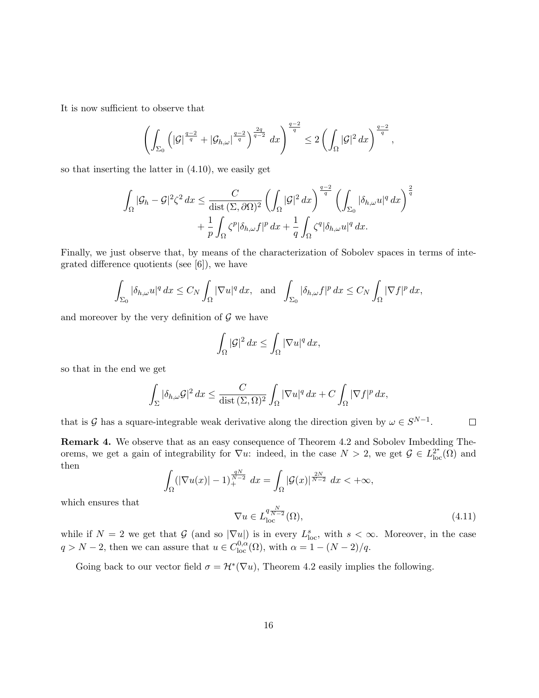It is now sufficient to observe that

$$
\left(\int_{\Sigma_0} \left(|\mathcal{G}|^{\frac{q-2}{q}} + |\mathcal{G}_{h,\omega}|^{\frac{q-2}{q}}\right)^{\frac{2q}{q-2}} dx\right)^{\frac{q-2}{q}} \leq 2 \left(\int_{\Omega} |\mathcal{G}|^2 dx\right)^{\frac{q-2}{q}},
$$

so that inserting the latter in (4.10), we easily get

$$
\int_{\Omega} |\mathcal{G}_h - \mathcal{G}|^2 \zeta^2 dx \leq \frac{C}{\text{dist}(\Sigma, \partial \Omega)^2} \left( \int_{\Omega} |\mathcal{G}|^2 dx \right)^{\frac{q-2}{q}} \left( \int_{\Sigma_0} |\delta_{h,\omega} u|^q dx \right)^{\frac{2}{q}}
$$

$$
+ \frac{1}{p} \int_{\Omega} \zeta^p |\delta_{h,\omega} f|^p dx + \frac{1}{q} \int_{\Omega} \zeta^q |\delta_{h,\omega} u|^q dx.
$$

Finally, we just observe that, by means of the characterization of Sobolev spaces in terms of integrated difference quotients (see [6]), we have

$$
\int_{\Sigma_0} |\delta_{h,\omega} u|^q \, dx \le C_N \int_{\Omega} |\nabla u|^q \, dx, \text{ and } \int_{\Sigma_0} |\delta_{h,\omega} f|^p \, dx \le C_N \int_{\Omega} |\nabla f|^p \, dx,
$$

and moreover by the very definition of  $\mathcal G$  we have

$$
\int_{\Omega} |\mathcal{G}|^2 dx \le \int_{\Omega} |\nabla u|^q dx,
$$

so that in the end we get

$$
\int_{\Sigma} |\delta_{h,\omega}\mathcal{G}|^2 dx \leq \frac{C}{\text{dist}(\Sigma,\Omega)^2} \int_{\Omega} |\nabla u|^q dx + C \int_{\Omega} |\nabla f|^p dx,
$$

that is G has a square-integrable weak derivative along the direction given by  $\omega \in S^{N-1}$ .  $\Box$ 

Remark 4. We observe that as an easy consequence of Theorem 4.2 and Sobolev Imbedding Theorems, we get a gain of integrability for  $\nabla u$ : indeed, in the case  $N > 2$ , we get  $\mathcal{G} \in L^{2^*}_{loc}(\Omega)$  and then

$$
\int_{\Omega} (|\nabla u(x)| - 1)^{\frac{qN}{N-2}} dx = \int_{\Omega} |\mathcal{G}(x)|^{\frac{2N}{N-2}} dx < +\infty,
$$

which ensures that

$$
\nabla u \in L_{\text{loc}}^{q\frac{N}{N-2}}(\Omega),\tag{4.11}
$$

while if  $N = 2$  we get that G (and so  $|\nabla u|$ ) is in every  $L^s_{loc}$ , with  $s < \infty$ . Moreover, in the case  $q > N - 2$ , then we can assure that  $u \in C^{0,\alpha}_{loc}(\Omega)$ , with  $\alpha = 1 - (N - 2)/q$ .

Going back to our vector field  $\sigma = \mathcal{H}^*(\nabla u)$ , Theorem 4.2 easily implies the following.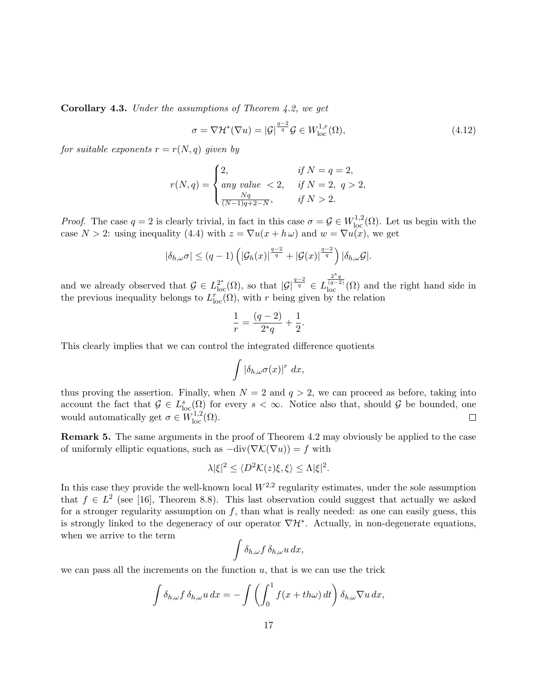Corollary 4.3. Under the assumptions of Theorem 4.2, we get

$$
\sigma = \nabla \mathcal{H}^*(\nabla u) = |\mathcal{G}|^{\frac{q-2}{q}} \mathcal{G} \in W^{1,r}_{\text{loc}}(\Omega), \tag{4.12}
$$

for suitable exponents  $r = r(N, q)$  given by

$$
r(N,q) = \begin{cases} 2, & \text{if } N = q = 2, \\ any \text{ value } < 2, & \text{if } N = 2, q > 2, \\ \frac{Nq}{(N-1)q+2-N}, & \text{if } N > 2. \end{cases}
$$

*Proof.* The case  $q = 2$  is clearly trivial, in fact in this case  $\sigma = \mathcal{G} \in W^{1,2}_{loc}(\Omega)$ . Let us begin with the case  $N > 2$ : using inequality (4.4) with  $z = \nabla u(x + h \omega)$  and  $w = \nabla u(x)$ , we get

$$
|\delta_{h,\omega}\sigma| \le (q-1) \left( |\mathcal{G}_h(x)|^{\frac{q-2}{q}} + |\mathcal{G}(x)|^{\frac{q-2}{q}} \right) |\delta_{h,\omega}\mathcal{G}|.
$$

and we already observed that  $\mathcal{G} \in L^{2^*}_{loc}(\Omega)$ , so that  $|\mathcal{G}|^{\frac{q-2}{q}} \in L$  $\frac{2^*q}{(q-2)}(\Omega)$  and the right hand side in the previous inequality belongs to  $L_{loc}^r(\Omega)$ , with r being given by the relation

$$
\frac{1}{r} = \frac{(q-2)}{2^*q} + \frac{1}{2}
$$

.

This clearly implies that we can control the integrated difference quotients

$$
\int |\delta_{h,\omega}\sigma(x)|^r dx,
$$

thus proving the assertion. Finally, when  $N = 2$  and  $q > 2$ , we can proceed as before, taking into account the fact that  $\mathcal{G} \in L^s_{loc}(\Omega)$  for every  $s < \infty$ . Notice also that, should  $\mathcal{G}$  be bounded, one would automatically get  $\sigma \in W^{1,2}_{loc}(\Omega)$ .

**Remark 5.** The same arguments in the proof of Theorem 4.2 may obviously be applied to the case of uniformly elliptic equations, such as  $-\text{div}(\nabla \mathcal{K}(\nabla u)) = f$  with

$$
\lambda |\xi|^2 \le \langle D^2 \mathcal{K}(z)\xi, \xi \rangle \le \Lambda |\xi|^2.
$$

In this case they provide the well-known local  $W^{2,2}$  regularity estimates, under the sole assumption that  $f \in L^2$  (see [16], Theorem 8.8). This last observation could suggest that actually we asked for a stronger regularity assumption on  $f$ , than what is really needed: as one can easily guess, this is strongly linked to the degeneracy of our operator  $\nabla \mathcal{H}^*$ . Actually, in non-degenerate equations, when we arrive to the term

$$
\int \delta_{h,\omega} f \, \delta_{h,\omega} u \, dx,
$$

we can pass all the increments on the function  $u$ , that is we can use the trick

$$
\int \delta_{h,\omega} f \, \delta_{h,\omega} u \, dx = - \int \left( \int_0^1 f(x + th\omega) \, dt \right) \delta_{h,\omega} \nabla u \, dx,
$$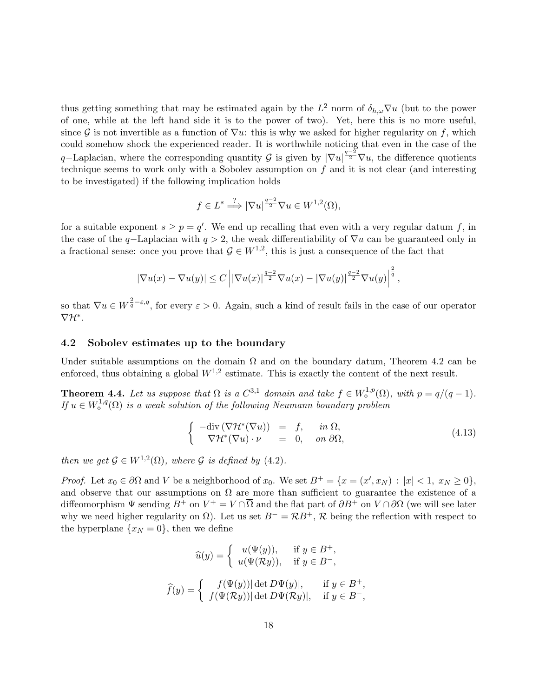thus getting something that may be estimated again by the  $L^2$  norm of  $\delta_{h,\omega} \nabla u$  (but to the power of one, while at the left hand side it is to the power of two). Yet, here this is no more useful, since G is not invertible as a function of  $\nabla u$ : this is why we asked for higher regularity on f, which could somehow shock the experienced reader. It is worthwhile noticing that even in the case of the q–Laplacian, where the corresponding quantity G is given by  $|\nabla u|^{\frac{q-2}{2}}\nabla u$ , the difference quotients technique seems to work only with a Sobolev assumption on  $f$  and it is not clear (and interesting to be investigated) if the following implication holds

$$
f \in L^s \xrightarrow{\cdot ?} |\nabla u|^{\frac{q-2}{2}} \nabla u \in W^{1,2}(\Omega),
$$

for a suitable exponent  $s \geq p = q'$ . We end up recalling that even with a very regular datum f, in the case of the q–Laplacian with  $q > 2$ , the weak differentiability of  $\nabla u$  can be guaranteed only in a fractional sense: once you prove that  $\mathcal{G} \in W^{1,2}$ , this is just a consequence of the fact that

$$
|\nabla u(x)-\nabla u(y)|\leq C\left||\nabla u(x)|^{\frac{q-2}{2}}\nabla u(x)-|\nabla u(y)|^{\frac{q-2}{2}}\nabla u(y)\right|^{\frac{2}{q}},
$$

so that  $\nabla u \in W^{\frac{2}{q}-\varepsilon,q}$ , for every  $\varepsilon > 0$ . Again, such a kind of result fails in the case of our operator  $\nabla \mathcal{H}^*$ .

#### 4.2 Sobolev estimates up to the boundary

Under suitable assumptions on the domain  $\Omega$  and on the boundary datum, Theorem 4.2 can be enforced, thus obtaining a global  $W^{1,2}$  estimate. This is exactly the content of the next result.

**Theorem 4.4.** Let us suppose that  $\Omega$  is a  $C^{3,1}$  domain and take  $f \in W_0^{1,p}(\Omega)$ , with  $p = q/(q-1)$ . If  $u \in W^{1,q}_\diamond(\Omega)$  is a weak solution of the following Neumann boundary problem

$$
\begin{cases}\n-\text{div}(\nabla \mathcal{H}^*(\nabla u)) &= f, & \text{in } \Omega, \\
\nabla \mathcal{H}^*(\nabla u) \cdot \nu &= 0, & \text{on } \partial \Omega,\n\end{cases}
$$
\n(4.13)

then we get  $\mathcal{G} \in W^{1,2}(\Omega)$ , where  $\mathcal{G}$  is defined by (4.2).

*Proof.* Let  $x_0 \in \partial\Omega$  and V be a neighborhood of  $x_0$ . We set  $B^+ = \{x = (x', x_N) : |x| < 1, x_N \ge 0\}$ , and observe that our assumptions on  $\Omega$  are more than sufficient to guarantee the existence of a diffeomorphism  $\Psi$  sending  $B^+$  on  $V^+ = V \cap \overline{\Omega}$  and the flat part of  $\partial B^+$  on  $V \cap \partial \Omega$  (we will see later why we need higher regularity on  $\Omega$ ). Let us set  $B^{-} = \mathcal{R}B^{+}$ ,  $\mathcal{R}$  being the reflection with respect to the hyperplane  $\{x_N = 0\}$ , then we define

$$
\widehat{u}(y) = \begin{cases}\nu(\Psi(y)), & \text{if } y \in B^+, \\
u(\Psi(\mathcal{R}y)), & \text{if } y \in B^-, \\
f(y) = \begin{cases}\nf(\Psi(y)) |\det D\Psi(y)|, & \text{if } y \in B^+, \\
f(\Psi(\mathcal{R}y)) |\det D\Psi(\mathcal{R}y)|, & \text{if } y \in B^-, \\
\end{cases}
$$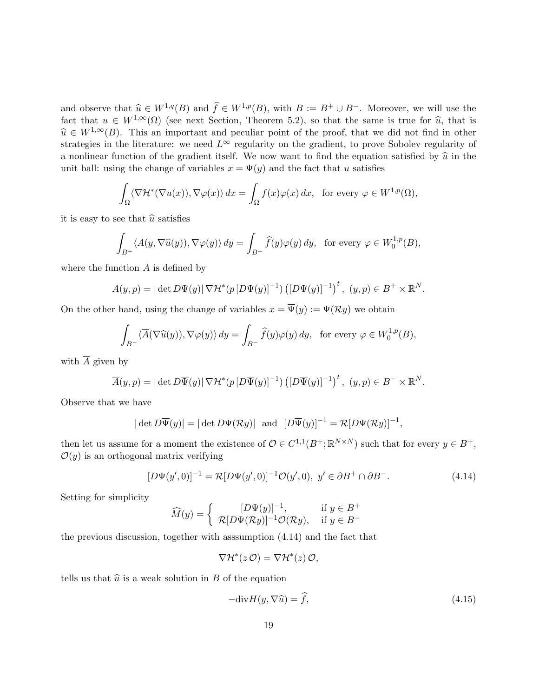and observe that  $\widehat{u} \in W^{1,q}(B)$  and  $\widehat{f} \in W^{1,p}(B)$ , with  $B := B^+ \cup B^-$ . Moreover, we will use the fact that  $u \in W^{1,\infty}(\Omega)$  (see next Section, Theorem 5.2), so that the same is true for  $\hat{u}$ , that is  $\hat{u} \in W^{1,\infty}(B)$ . This an important and peculiar point of the proof, that we did not find in other strategies in the literature: we need  $L^{\infty}$  regularity on the gradient, to prove Sobolev regularity of a nonlinear function of the gradient itself. We now want to find the equation satisfied by  $\hat{u}$  in the unit ball: using the change of variables  $x = \Psi(y)$  and the fact that u satisfies

$$
\int_{\Omega} \langle \nabla \mathcal{H}^*(\nabla u(x)), \nabla \varphi(x) \rangle dx = \int_{\Omega} f(x) \varphi(x) dx, \text{ for every } \varphi \in W^{1,p}(\Omega),
$$

it is easy to see that  $\hat{u}$  satisfies

$$
\int_{B^+} \langle A(y, \nabla \widehat{u}(y)), \nabla \varphi(y) \rangle dy = \int_{B^+} \widehat{f}(y) \varphi(y) dy, \text{ for every } \varphi \in W_0^{1,p}(B),
$$

where the function  $A$  is defined by

$$
A(y,p) = |\det D\Psi(y)| \nabla \mathcal{H}^*(p[D\Psi(y)]^{-1}) ([D\Psi(y)]^{-1})^t, (y,p) \in B^+ \times \mathbb{R}^N.
$$

On the other hand, using the change of variables  $x = \overline{\Psi}(y) := \Psi(\mathcal{R}y)$  we obtain

$$
\int_{B^{-}} \langle \overline{A}(\nabla \widehat{u}(y)), \nabla \varphi(y) \rangle dy = \int_{B^{-}} \widehat{f}(y)\varphi(y) dy, \text{ for every } \varphi \in W_0^{1,p}(B),
$$

with  $\overline{A}$  given by

$$
\overline{A}(y,p) = |\det D\overline{\Psi}(y)| \nabla \mathcal{H}^*(p[D\overline{\Psi}(y)]^{-1}) ([D\overline{\Psi}(y)]^{-1})^t, (y,p) \in B^- \times \mathbb{R}^N.
$$

Observe that we have

$$
|\det D\overline{\Psi}(y)| = |\det D\Psi(\mathcal{R}y)|
$$
 and  $[D\overline{\Psi}(y)]^{-1} = \mathcal{R}[D\Psi(\mathcal{R}y)]^{-1}$ ,

then let us assume for a moment the existence of  $\mathcal{O} \in C^{1,1}(B^+;\mathbb{R}^{N \times N})$  such that for every  $y \in B^+$ ,  $\mathcal{O}(y)$  is an orthogonal matrix verifying

$$
[D\Psi(y',0)]^{-1} = \mathcal{R}[D\Psi(y',0)]^{-1}\mathcal{O}(y',0), \ y' \in \partial B^+ \cap \partial B^-.
$$
 (4.14)

Setting for simplicity

$$
\widehat{M}(y) = \begin{cases}\n[D\Psi(y)]^{-1}, & \text{if } y \in B^+ \\
\mathcal{R}[D\Psi(\mathcal{R}y)]^{-1}\mathcal{O}(\mathcal{R}y), & \text{if } y \in B^-\n\end{cases}
$$

the previous discussion, together with asssumption (4.14) and the fact that

$$
\nabla \mathcal{H}^*(z\,\mathcal{O}) = \nabla \mathcal{H}^*(z)\,\mathcal{O},
$$

tells us that  $\hat{u}$  is a weak solution in B of the equation

$$
-\text{div}H(y,\nabla\widehat{u}) = \widehat{f},\tag{4.15}
$$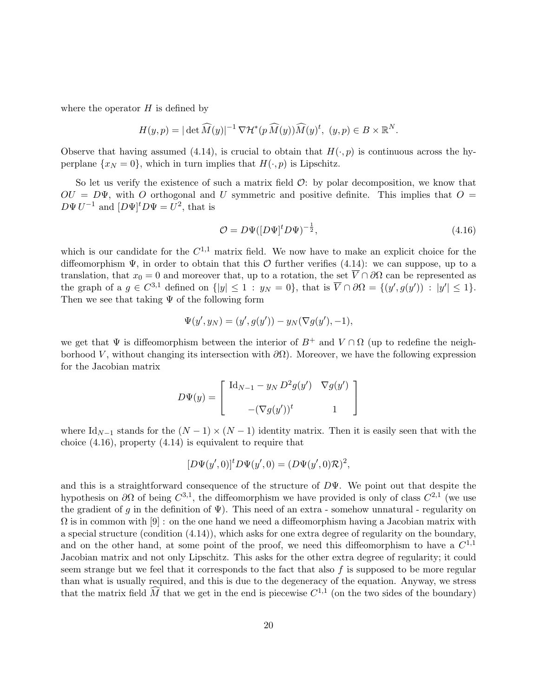where the operator  $H$  is defined by

$$
H(y,p) = |\det \widehat{M}(y)|^{-1} \nabla \mathcal{H}^*(p \widehat{M}(y)) \widehat{M}(y)^t, (y,p) \in B \times \mathbb{R}^N.
$$

Observe that having assumed (4.14), is crucial to obtain that  $H(\cdot, p)$  is continuous across the hyperplane  $\{x_N = 0\}$ , which in turn implies that  $H(\cdot, p)$  is Lipschitz.

So let us verify the existence of such a matrix field  $\mathcal{O}$ : by polar decomposition, we know that  $OU = D\Psi$ , with O orthogonal and U symmetric and positive definite. This implies that  $O =$  $D\Psi U^{-1}$  and  $[D\Psi]^t D\Psi = U^2$ , that is

$$
\mathcal{O} = D\Psi([D\Psi]^t D\Psi)^{-\frac{1}{2}},\tag{4.16}
$$

which is our candidate for the  $C^{1,1}$  matrix field. We now have to make an explicit choice for the diffeomorphism  $\Psi$ , in order to obtain that this  $\mathcal O$  further verifies (4.14): we can suppose, up to a translation, that  $x_0 = 0$  and moreover that, up to a rotation, the set  $\overline{V} \cap \partial\Omega$  can be represented as the graph of a  $g \in C^{3,1}$  defined on  $\{|y| \leq 1 : y_N = 0\}$ , that is  $\overline{V} \cap \partial \Omega = \{(y', g(y')) : |y'| \leq 1\}$ . Then we see that taking  $\Psi$  of the following form

$$
\Psi(y', y_N) = (y', g(y')) - y_N(\nabla g(y'), -1),
$$

we get that  $\Psi$  is diffeomorphism between the interior of  $B^+$  and  $V \cap \Omega$  (up to redefine the neighborhood V, without changing its intersection with  $\partial\Omega$ ). Moreover, we have the following expression for the Jacobian matrix

$$
D\Psi(y) = \begin{bmatrix} \mathrm{Id}_{N-1} - y_N D^2 g(y') & \nabla g(y') \\ -(\nabla g(y'))^t & 1 \end{bmatrix}
$$

where Id<sub>N−1</sub> stands for the  $(N-1) \times (N-1)$  identity matrix. Then it is easily seen that with the choice (4.16), property (4.14) is equivalent to require that

$$
[D\Psi(y',0)]^t D\Psi(y',0) = (D\Psi(y',0)\mathcal{R})^2,
$$

and this is a straightforward consequence of the structure of  $D\Psi$ . We point out that despite the hypothesis on  $\partial\Omega$  of being  $C^{3,1}$ , the diffeomorphism we have provided is only of class  $C^{2,1}$  (we use the gradient of g in the definition of  $\Psi$ ). This need of an extra - somehow unnatural - regularity on  $\Omega$  is in common with  $[9]$  : on the one hand we need a diffeomorphism having a Jacobian matrix with a special structure (condition (4.14)), which asks for one extra degree of regularity on the boundary, and on the other hand, at some point of the proof, we need this diffeomorphism to have a  $C^{1,1}$ Jacobian matrix and not only Lipschitz. This asks for the other extra degree of regularity; it could seem strange but we feel that it corresponds to the fact that also  $f$  is supposed to be more regular than what is usually required, and this is due to the degeneracy of the equation. Anyway, we stress that the matrix field  $\widehat{M}$  that we get in the end is piecewise  $C^{1,1}$  (on the two sides of the boundary)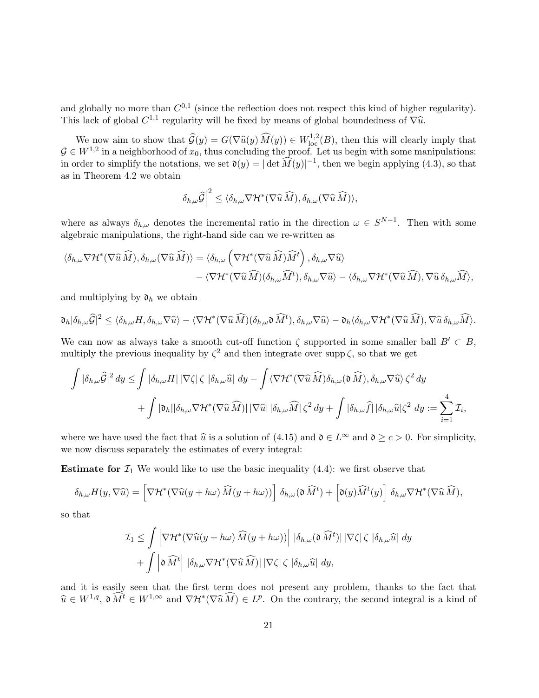and globally no more than  $C^{0,1}$  (since the reflection does not respect this kind of higher regularity). This lack of global  $C^{1,1}$  regularity will be fixed by means of global boundedness of  $\nabla \hat{u}$ .

We now aim to show that  $\widehat{\mathcal{G}}(y) = G(\nabla \widehat{u}(y) \widehat{M}(y)) \in W^{1,2}_{loc}(B)$ , then this will clearly imply that  $W^{1,2}$  in a neighborhood of  $x$ , thus concluding the proof. Let us begin with some manipulations  $G \in W^{1,2}$  in a neighborhood of  $x_0$ , thus concluding the proof. Let us begin with some manipulations: in order to simplify the notations, we set  $\mathfrak{d}(y) = |\det \widehat{M}(y)|^{-1}$ , then we begin applying (4.3), so that as in Theorem 4.2 we obtain

$$
\left|\delta_{h,\omega}\widehat{\mathcal{G}}\right|^2 \leq \langle \delta_{h,\omega} \nabla \mathcal{H}^*(\nabla \widehat{u} \widehat{M}), \delta_{h,\omega}(\nabla \widehat{u} \widehat{M})\rangle,
$$

where as always  $\delta_{h,\omega}$  denotes the incremental ratio in the direction  $\omega \in S^{N-1}$ . Then with some algebraic manipulations, the right-hand side can we re-written as

$$
\langle \delta_{h,\omega} \nabla \mathcal{H}^*(\nabla \widehat{u} \widehat{M}), \delta_{h,\omega} (\nabla \widehat{u} \widehat{M}) \rangle = \langle \delta_{h,\omega} \left( \nabla \mathcal{H}^*(\nabla \widehat{u} \widehat{M}) \widehat{M}^t \right), \delta_{h,\omega} \nabla \widehat{u} \rangle - \langle \nabla \mathcal{H}^*(\nabla \widehat{u} \widehat{M}) (\delta_{h,\omega} \widehat{M}^t), \delta_{h,\omega} \nabla \widehat{u} \rangle - \langle \delta_{h,\omega} \nabla \mathcal{H}^*(\nabla \widehat{u} \widehat{M}), \nabla \widehat{u} \delta_{h,\omega} \widehat{M} \rangle,
$$

and multiplying by  $\mathfrak{d}_h$  we obtain

$$
\mathfrak{d}_h|\delta_{h,\omega}\widehat{\mathcal{G}}|^2\leq\langle \delta_{h,\omega}H,\delta_{h,\omega}\nabla\widehat{u}\rangle-\langle \nabla \mathcal{H}^*(\nabla\widehat{u}\,\widehat{M})(\delta_{h,\omega}\mathfrak{d}\,\widehat{M}^t),\delta_{h,\omega}\nabla\widehat{u}\rangle-\mathfrak{d}_h\langle \delta_{h,\omega}\nabla \mathcal{H}^*(\nabla\widehat{u}\,\widehat{M}),\nabla\widehat{u}\,\delta_{h,\omega}\widehat{M}\rangle.
$$

We can now as always take a smooth cut-off function  $\zeta$  supported in some smaller ball  $B' \subset B$ , multiply the previous inequality by  $\zeta^2$  and then integrate over supp  $\zeta$ , so that we get

$$
\int |\delta_{h,\omega}\widehat{G}|^2 dy \leq \int |\delta_{h,\omega}H| |\nabla\zeta|\zeta| |\delta_{h,\omega}\widehat{u}| dy - \int \langle \nabla \mathcal{H}^*(\nabla \widehat{u}\widehat{M})\delta_{h,\omega}(\mathfrak{d}\widehat{M}), \delta_{h,\omega}\nabla\widehat{u}\rangle \zeta^2 dy + \int |\mathfrak{d}_h||\delta_{h,\omega}\nabla \mathcal{H}^*(\nabla \widehat{u}\widehat{M})| |\nabla\widehat{u}||\delta_{h,\omega}\widehat{M}| \zeta^2 dy + \int |\delta_{h,\omega}\widehat{f}| |\delta_{h,\omega}\widehat{u}|\zeta^2 dy := \sum_{i=1}^4 \mathcal{I}_i,
$$

where we have used the fact that  $\hat{u}$  is a solution of (4.15) and  $\mathfrak{d} \in L^{\infty}$  and  $\mathfrak{d} \geq c > 0$ . For simplicity, we now discuss separately the estimates of every integral:

**Estimate for**  $\mathcal{I}_1$  We would like to use the basic inequality  $(4.4)$ : we first observe that

$$
\delta_{h,\omega} H(y,\nabla \widehat{u}) = \left[ \nabla \mathcal{H}^*(\nabla \widehat{u}(y+h\omega) \widehat{M}(y+h\omega)) \right] \delta_{h,\omega}(\mathfrak{d} \widehat{M}^t) + \left[ \mathfrak{d}(y) \widehat{M}^t(y) \right] \delta_{h,\omega} \nabla \mathcal{H}^*(\nabla \widehat{u} \widehat{M}),
$$

so that

$$
\mathcal{I}_1 \leq \int \left| \nabla \mathcal{H}^* (\nabla \widehat{u}(y + h\omega) \widehat{M}(y + h\omega)) \right| \, |\delta_{h,\omega}(\mathfrak{d} \widehat{M}^t)| \, |\nabla \zeta| \, \zeta \, |\delta_{h,\omega} \widehat{u}| \, dy
$$

$$
+ \int \left| \mathfrak{d} \widehat{M}^t \right| \, |\delta_{h,\omega} \nabla \mathcal{H}^* (\nabla \widehat{u} \widehat{M})| \, |\nabla \zeta| \, \zeta \, |\delta_{h,\omega} \widehat{u}| \, dy,
$$

and it is easily seen that the first term does not present any problem, thanks to the fact that  $\widehat{u} \in W^{1,q}$ ,  $\mathfrak{d} \widehat{M}^t \in W^{1,\infty}$  and  $\nabla \mathcal{H}^*(\nabla \widehat{u} \widehat{M}) \in L^p$ . On the contrary, the second integral is a kind of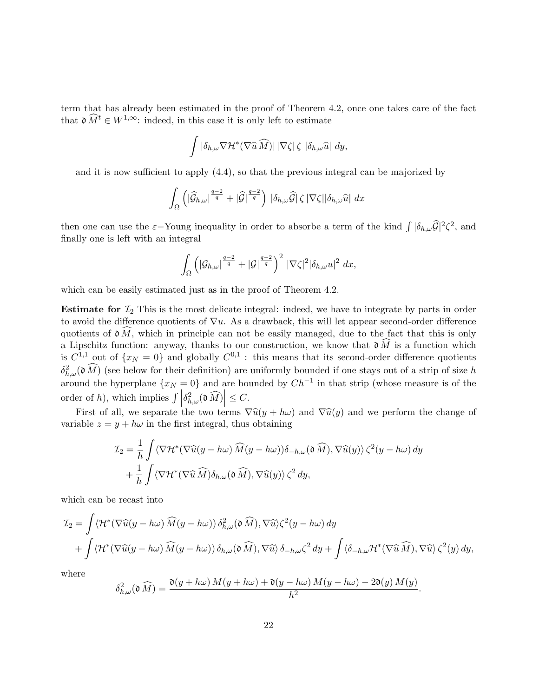term that has already been estimated in the proof of Theorem 4.2, once one takes care of the fact that  $\mathfrak{d} \widehat{M}^t \in W^{1,\infty}$ : indeed, in this case it is only left to estimate

$$
\int |\delta_{h,\omega} \nabla \mathcal{H}^*(\nabla \widehat{u} \widehat{M})| |\nabla \zeta| \zeta |\delta_{h,\omega} \widehat{u}| dy,
$$

and it is now sufficient to apply (4.4), so that the previous integral can be majorized by

$$
\int_{\Omega} \left( |\widehat{\mathcal{G}}_{h,\omega}|^{\frac{q-2}{q}} + |\widehat{\mathcal{G}}|^{\frac{q-2}{q}} \right) \, |\delta_{h,\omega}\widehat{\mathcal{G}}| \, \zeta \, |\nabla \zeta| |\delta_{h,\omega}\widehat{u}| \, dx
$$

then one can use the  $\varepsilon$ -Young inequality in order to absorbe a term of the kind  $\int |\delta_{h,\omega}\widehat{G}|^2 \zeta^2$ , and finally one is left with an integral

$$
\int_{\Omega} \left( |\mathcal{G}_{h,\omega}|^{\frac{q-2}{q}} + |\mathcal{G}|^{\frac{q-2}{q}} \right)^2 \, |\nabla \zeta|^2 |\delta_{h,\omega} u|^2 \, dx,
$$

which can be easily estimated just as in the proof of Theorem 4.2.

**Estimate for**  $\mathcal{I}_2$  This is the most delicate integral: indeed, we have to integrate by parts in order to avoid the difference quotients of  $\nabla u$ . As a drawback, this will let appear second-order difference quotients of  $\mathfrak{d} \widehat{M}$ , which in principle can not be easily managed, due to the fact that this is only a Lipschitz function: anyway, thanks to our construction, we know that  $\mathfrak{d}\widehat{M}$  is a function which is  $C^{1,1}$  out of  $\{x_N = 0\}$  and globally  $C^{0,1}$ : this means that its second-order difference quotients  $\delta_{h,\omega}^2(\mathfrak{d}\widehat{M})$  (see below for their definition) are uniformly bounded if one stays out of a strip of size h around the hyperplane  $\{x_N = 0\}$  and are bounded by  $Ch^{-1}$  in that strip (whose measure is of the order of h), which implies  $\left| \int_{h,\omega} \delta_{h,\omega}^2(\mathfrak{d}\widehat{M}) \right| \leq C$ .

First of all, we separate the two terms  $\nabla \hat{u}(y + h\omega)$  and  $\nabla \hat{u}(y)$  and we perform the change of variable  $z = y + h\omega$  in the first integral, thus obtaining

$$
\mathcal{I}_2 = \frac{1}{h} \int \langle \nabla \mathcal{H}^* (\nabla \widehat{u}(y - h\omega) \widehat{M}(y - h\omega)) \delta_{-h,\omega}(\mathfrak{d} \widehat{M}), \nabla \widehat{u}(y) \rangle \zeta^2(y - h\omega) dy + \frac{1}{h} \int \langle \nabla \mathcal{H}^* (\nabla \widehat{u} \widehat{M}) \delta_{h,\omega}(\mathfrak{d} \widehat{M}), \nabla \widehat{u}(y) \rangle \zeta^2 dy,
$$

which can be recast into

$$
\mathcal{I}_2 = \int \langle \mathcal{H}^* (\nabla \widehat{u}(y - h\omega) \widehat{M}(y - h\omega)) \delta_{h,\omega}^2(\mathfrak{d} \widehat{M}), \nabla \widehat{u} \rangle \zeta^2(y - h\omega) dy + \int \langle \mathcal{H}^* (\nabla \widehat{u}(y - h\omega) \widehat{M}(y - h\omega)) \delta_{h,\omega}(\mathfrak{d} \widehat{M}), \nabla \widehat{u} \rangle \delta_{-h,\omega} \zeta^2 dy + \int \langle \delta_{-h,\omega} \mathcal{H}^* (\nabla \widehat{u} \widehat{M}), \nabla \widehat{u} \rangle \zeta^2(y) dy,
$$

where

$$
\delta_{h,\omega}^2(\mathfrak{d}\widehat{M})=\frac{\mathfrak{d}(y+h\omega) M(y+h\omega)+\mathfrak{d}(y-h\omega) M(y-h\omega)-2\mathfrak{d}(y) M(y)}{h^2}.
$$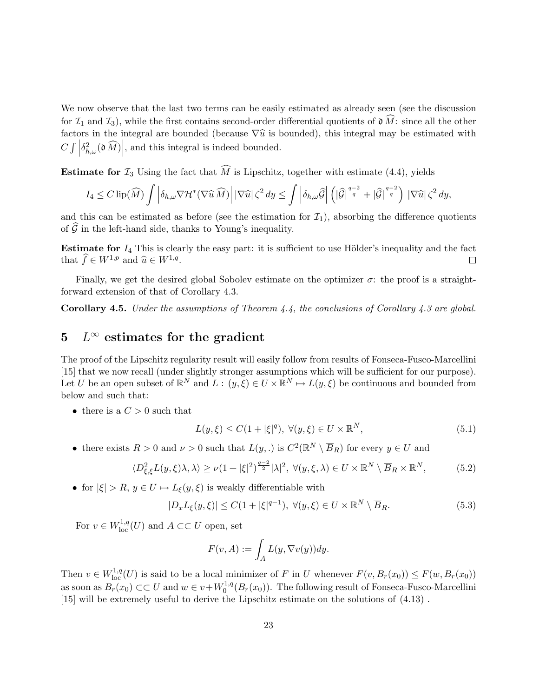We now observe that the last two terms can be easily estimated as already seen (see the discussion for  $\mathcal{I}_1$  and  $\mathcal{I}_3$ , while the first contains second-order differential quotients of  $\mathfrak{d}\widehat{M}$ : since all the other factors in the integral are bounded (because  $\nabla \hat{u}$  is bounded), this integral may be estimated with  $C \int$  $\delta_{h,\omega}^2(\mathfrak{d}\widehat{M})\Big|$ , and this integral is indeed bounded.

**Estimate for**  $\mathcal{I}_3$  Using the fact that  $\widehat{M}$  is Lipschitz, together with estimate (4.4), yields

$$
I_4 \leq C \operatorname{lip}(\widehat{M}) \int \left| \delta_{h,\omega} \nabla \mathcal{H}^*(\nabla \widehat{u} \,\widehat{M}) \right| |\nabla \widehat{u}| \,\zeta^2 \,dy \leq \int \left| \delta_{h,\omega} \widehat{G} \right| \left( |\widehat{G}|^{\frac{q-2}{q}} + |\widehat{G}|^{\frac{q-2}{q}} \right) |\nabla \widehat{u}| \,\zeta^2 \,dy,
$$

and this can be estimated as before (see the estimation for  $\mathcal{I}_1$ ), absorbing the difference quotients of  $\widehat{\mathcal{G}}$  in the left-hand side, thanks to Young's inequality.

Estimate for  $I_4$  This is clearly the easy part: it is sufficient to use Hölder's inequality and the fact that  $\widehat{f} \in W^{1,p}$  and  $\widehat{u} \in W^{1,q}$ .  $\Box$ 

Finally, we get the desired global Sobolev estimate on the optimizer  $\sigma$ : the proof is a straightforward extension of that of Corollary 4.3.

**Corollary 4.5.** Under the assumptions of Theorem  $\frac{1}{4}$ , the conclusions of Corollary  $\frac{1}{4}$ . 3 are global.

## 5  $L^\infty$  estimates for the gradient

The proof of the Lipschitz regularity result will easily follow from results of Fonseca-Fusco-Marcellini [15] that we now recall (under slightly stronger assumptions which will be sufficient for our purpose). Let U be an open subset of  $\mathbb{R}^N$  and  $L: (y, \xi) \in U \times \mathbb{R}^N \mapsto L(y, \xi)$  be continuous and bounded from below and such that:

• there is a  $C > 0$  such that

$$
L(y,\xi) \le C(1+|\xi|^q), \ \forall (y,\xi) \in U \times \mathbb{R}^N,\tag{5.1}
$$

• there exists  $R > 0$  and  $\nu > 0$  such that  $L(y,.)$  is  $C^2(\mathbb{R}^N \setminus \overline{B}_R)$  for every  $y \in U$  and

$$
\langle D_{\xi,\xi}^2 L(y,\xi)\lambda,\lambda\rangle \ge \nu(1+|\xi|^2)^{\frac{q-2}{2}}|\lambda|^2, \ \forall (y,\xi,\lambda) \in U \times \mathbb{R}^N \setminus \overline{B}_R \times \mathbb{R}^N, \tag{5.2}
$$

• for  $|\xi| > R$ ,  $y \in U \mapsto L_{\xi}(y, \xi)$  is weakly differentiable with

$$
|D_x L_{\xi}(y,\xi)| \le C(1+|\xi|^{q-1}), \ \forall (y,\xi) \in U \times \mathbb{R}^N \setminus \overline{B}_R.
$$
 (5.3)

For  $v \in W^{1,q}_{loc}(U)$  and  $A \subset\subset U$  open, set

$$
F(v, A) := \int_A L(y, \nabla v(y)) dy.
$$

Then  $v \in W^{1,q}_{loc}(U)$  is said to be a local minimizer of F in U whenever  $F(v, B_r(x_0)) \leq F(w, B_r(x_0))$ as soon as  $B_r(x_0) \subset\subset U$  and  $w \in v + W_0^{1,q}$  $0^{1,q}(B_r(x_0))$ . The following result of Fonseca-Fusco-Marcellini [15] will be extremely useful to derive the Lipschitz estimate on the solutions of  $(4.13)$ .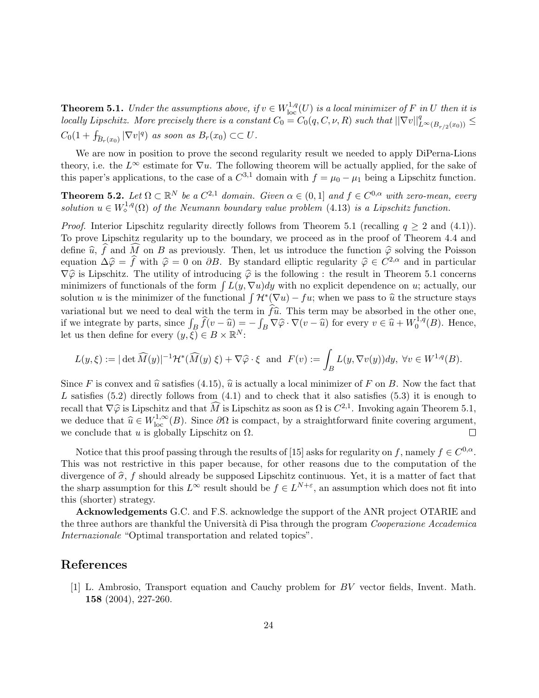**Theorem 5.1.** Under the assumptions above, if  $v \in W^{1,q}_{loc}(U)$  is a local minimizer of F in U then it is locally Lipschitz. More precisely there is a constant  $C_0 = C_0(q, C, \nu, R)$  such that  $||\nabla v||_{L^{\infty}(B_{r/2}(x_0))}^q \leq$  $C_0(1+\int_{B_r(x_0)}|\nabla v|^q)$  as soon as  $B_r(x_0)\subset\subset U$ .

We are now in position to prove the second regularity result we needed to apply DiPerna-Lions theory, i.e. the  $L^{\infty}$  estimate for  $\nabla u$ . The following theorem will be actually applied, for the sake of this paper's applications, to the case of a  $C^{3,1}$  domain with  $f = \mu_0 - \mu_1$  being a Lipschitz function.

**Theorem 5.2.** Let  $\Omega \subset \mathbb{R}^N$  be a  $C^{2,1}$  domain. Given  $\alpha \in (0,1]$  and  $f \in C^{0,\alpha}$  with zero-mean, every solution  $u \in W^{1,q}_\diamond(\Omega)$  of the Neumann boundary value problem (4.13) is a Lipschitz function.

*Proof.* Interior Lipschitz regularity directly follows from Theorem 5.1 (recalling  $q \geq 2$  and (4.1)). To prove Lipschitz regularity up to the boundary, we proceed as in the proof of Theorem 4.4 and define  $\hat{u}$ ,  $\hat{f}$  and  $\widehat{M}$  on B as previously. Then, let us introduce the function  $\hat{\varphi}$  solving the Poisson equation  $\Delta \hat{\varphi} = \hat{f}$  with  $\hat{\varphi} = 0$  on  $\partial B$ . By standard elliptic regularity  $\hat{\varphi} \in C^{2,\alpha}$  and in particular  $\nabla \hat{\varphi}$  is Lingghitz. The utility of introducing  $\hat{\varphi}$  is the following i the regult in Theore  $\nabla \hat{\varphi}$  is Lipschitz. The utility of introducing  $\hat{\varphi}$  is the following : the result in Theorem 5.1 concerns minimizers of functionals of the form  $\int L(y, \nabla u) dy$  with no explicit dependence on u; actually, our solution u is the minimizer of the functional  $\int \mathcal{H}^*(\nabla u) - fu$ ; when we pass to  $\hat{u}$  the structure stays variational but we need to deal with the term in  $\hat{f}\hat{u}$ . This term may be absorbed in the other one, if we integrate by parts, since  $\int_B \hat{f}(v - \hat{u}) = -\int_B \nabla \hat{\varphi} \cdot \nabla (v - \hat{u})$  for every  $v \in \hat{u} + W_0^{1,q}$  $i_0^{1,q}(B)$ . Hence, let us then define for every  $(y,\xi) \in B \times \mathbb{R}^N$ :

$$
L(y,\xi) := |\det \widehat{M}(y)|^{-1} \mathcal{H}^*(\widehat{M}(y) \xi) + \nabla \widehat{\varphi} \cdot \xi \text{ and } F(v) := \int_B L(y, \nabla v(y)) dy, \ \forall v \in W^{1,q}(B).
$$

Since F is convex and  $\hat{u}$  satisfies (4.15),  $\hat{u}$  is actually a local minimizer of F on B. Now the fact that L satisfies  $(5.2)$  directly follows from  $(4.1)$  and to check that it also satisfies  $(5.3)$  it is enough to recall that  $\nabla \hat{\varphi}$  is Lipschitz and that  $\widehat{M}$  is Lipschitz as soon as  $\Omega$  is  $C^{2,1}$ . Invoking again Theorem 5.1, we deduce that  $\widehat{x} \in W^{1,\infty}(R)$ . Since  $\partial \Omega$  is compact, by a straightforward finite covering we deduce that  $\hat{u} \in W^{1,\infty}_{loc}(B)$ . Since  $\partial\Omega$  is compact, by a straightforward finite covering argument, we conclude that u is globally Lipschitz on  $\Omega$ .

Notice that this proof passing through the results of [15] asks for regularity on f, namely  $f \in C^{0,\alpha}$ . This was not restrictive in this paper because, for other reasons due to the computation of the divergence of  $\hat{\sigma}$ , f should already be supposed Lipschitz continuous. Yet, it is a matter of fact that the sharp assumption for this  $L^{\infty}$  result should be  $f \in L^{N+\varepsilon}$ , an assumption which does not fit into this (shorter) strategy.

Acknowledgements G.C. and F.S. acknowledge the support of the ANR project OTARIE and the three authors are thankful the Università di Pisa through the program Cooperazione Accademica Internazionale "Optimal transportation and related topics".

### References

[1] L. Ambrosio, Transport equation and Cauchy problem for BV vector fields, Invent. Math. 158 (2004), 227-260.